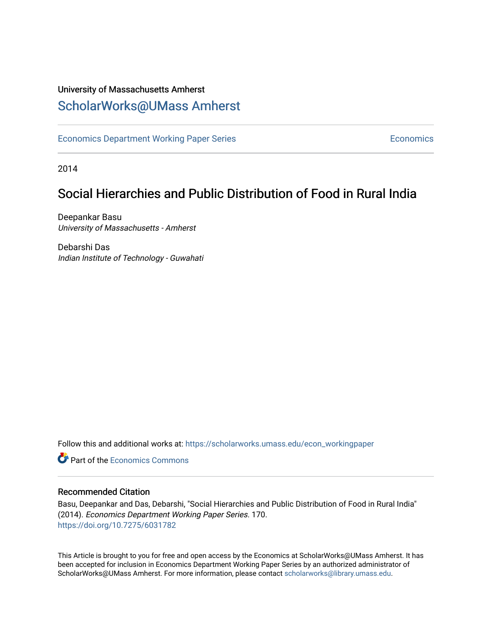### University of Massachusetts Amherst [ScholarWorks@UMass Amherst](https://scholarworks.umass.edu/)

[Economics Department Working Paper Series](https://scholarworks.umass.edu/econ_workingpaper) **Economics** Economics

2014

### Social Hierarchies and Public Distribution of Food in Rural India

Deepankar Basu University of Massachusetts - Amherst

Debarshi Das Indian Institute of Technology - Guwahati

Follow this and additional works at: [https://scholarworks.umass.edu/econ\\_workingpaper](https://scholarworks.umass.edu/econ_workingpaper?utm_source=scholarworks.umass.edu%2Fecon_workingpaper%2F170&utm_medium=PDF&utm_campaign=PDFCoverPages) 

**C** Part of the [Economics Commons](http://network.bepress.com/hgg/discipline/340?utm_source=scholarworks.umass.edu%2Fecon_workingpaper%2F170&utm_medium=PDF&utm_campaign=PDFCoverPages)

#### Recommended Citation

Basu, Deepankar and Das, Debarshi, "Social Hierarchies and Public Distribution of Food in Rural India" (2014). Economics Department Working Paper Series. 170. <https://doi.org/10.7275/6031782>

This Article is brought to you for free and open access by the Economics at ScholarWorks@UMass Amherst. It has been accepted for inclusion in Economics Department Working Paper Series by an authorized administrator of ScholarWorks@UMass Amherst. For more information, please contact [scholarworks@library.umass.edu.](mailto:scholarworks@library.umass.edu)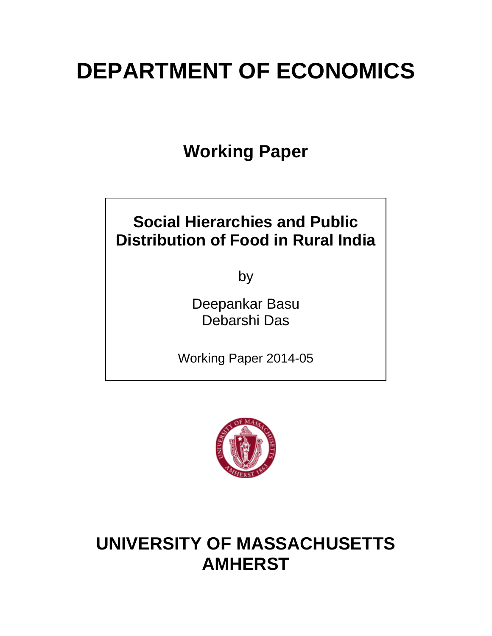# **DEPARTMENT OF ECONOMICS**

**Working Paper**

### **Social Hierarchies and Public Distribution of Food in Rural India**

by

Deepankar Basu Debarshi Das

Working Paper 2014-05



## **UNIVERSITY OF MASSACHUSETTS AMHERST**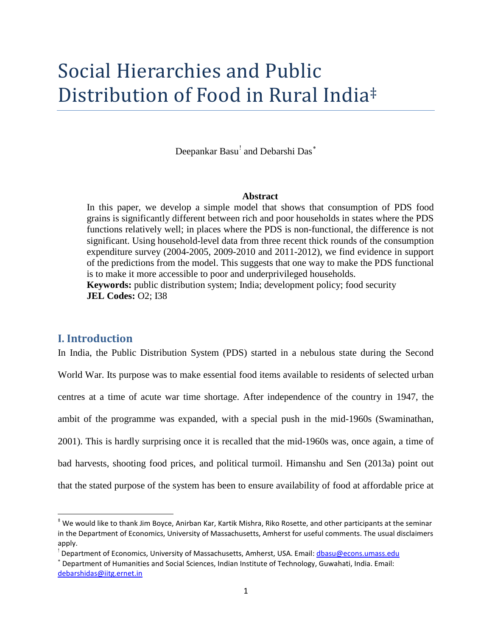# Social Hierarchies and Public Distribution of Food in Rural India[‡](#page-2-0)

Deepankar Basu<sup>[!](#page-2-1)</sup> and Debarshi Das<sup>\*</sup>

#### **Abstract**

In this paper, we develop a simple model that shows that consumption of PDS food grains is significantly different between rich and poor households in states where the PDS functions relatively well; in places where the PDS is non-functional, the difference is not significant. Using household-level data from three recent thick rounds of the consumption expenditure survey (2004-2005, 2009-2010 and 2011-2012), we find evidence in support of the predictions from the model. This suggests that one way to make the PDS functional is to make it more accessible to poor and underprivileged households. **Keywords:** public distribution system; India; development policy; food security

**JEL Codes:** O2; I38

#### **I. Introduction**

In India, the Public Distribution System (PDS) started in a nebulous state during the Second World War. Its purpose was to make essential food items available to residents of selected urban centres at a time of acute war time shortage. After independence of the country in 1947, the ambit of the programme was expanded, with a special push in the mid-1960s (Swaminathan, 2001). This is hardly surprising once it is recalled that the mid-1960s was, once again, a time of bad harvests, shooting food prices, and political turmoil. Himanshu and Sen (2013a) point out that the stated purpose of the system has been to ensure availability of food at affordable price at

<span id="page-2-0"></span> <sup>‡</sup> We would like to thank Jim Boyce, Anirban Kar, Kartik Mishra, Riko Rosette, and other participants at the seminar in the Department of Economics, University of Massachusetts, Amherst for useful comments. The usual disclaimers apply.

<span id="page-2-1"></span><sup>&</sup>lt;sup>!</sup> Department of Economics, University of Massachusetts, Amherst, USA. Email: <u>dbasu@econs.umass.edu</u>

<span id="page-2-2"></span><sup>∗</sup> Department of Humanities and Social Sciences, Indian Institute of Technology, Guwahati, India. Email: debarshidas@iitg.ernet.in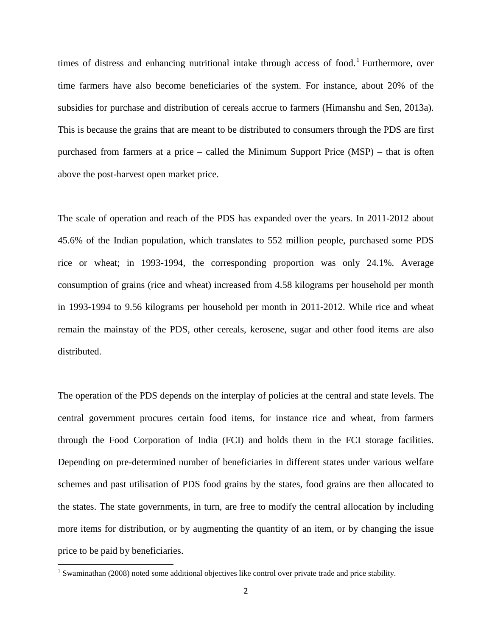times of distress and enhancing nutritional intake through access of food.<sup>[1](#page-3-0)</sup> Furthermore, over time farmers have also become beneficiaries of the system. For instance, about 20% of the subsidies for purchase and distribution of cereals accrue to farmers (Himanshu and Sen, 2013a). This is because the grains that are meant to be distributed to consumers through the PDS are first purchased from farmers at a price – called the Minimum Support Price (MSP) – that is often above the post-harvest open market price.

The scale of operation and reach of the PDS has expanded over the years. In 2011-2012 about 45.6% of the Indian population, which translates to 552 million people, purchased some PDS rice or wheat; in 1993-1994, the corresponding proportion was only 24.1%. Average consumption of grains (rice and wheat) increased from 4.58 kilograms per household per month in 1993-1994 to 9.56 kilograms per household per month in 2011-2012. While rice and wheat remain the mainstay of the PDS, other cereals, kerosene, sugar and other food items are also distributed.

The operation of the PDS depends on the interplay of policies at the central and state levels. The central government procures certain food items, for instance rice and wheat, from farmers through the Food Corporation of India (FCI) and holds them in the FCI storage facilities. Depending on pre-determined number of beneficiaries in different states under various welfare schemes and past utilisation of PDS food grains by the states, food grains are then allocated to the states. The state governments, in turn, are free to modify the central allocation by including more items for distribution, or by augmenting the quantity of an item, or by changing the issue price to be paid by beneficiaries.

<span id="page-3-0"></span><sup>&</sup>lt;sup>1</sup> Swaminathan (2008) noted some additional objectives like control over private trade and price stability.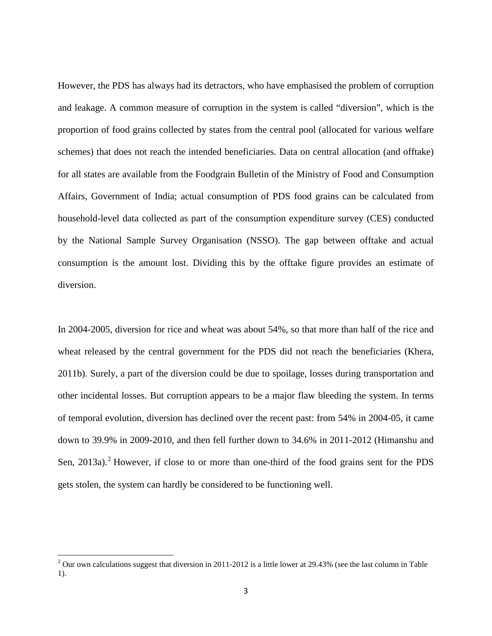However, the PDS has always had its detractors, who have emphasised the problem of corruption and leakage. A common measure of corruption in the system is called "diversion", which is the proportion of food grains collected by states from the central pool (allocated for various welfare schemes) that does not reach the intended beneficiaries. Data on central allocation (and offtake) for all states are available from the Foodgrain Bulletin of the Ministry of Food and Consumption Affairs, Government of India; actual consumption of PDS food grains can be calculated from household-level data collected as part of the consumption expenditure survey (CES) conducted by the National Sample Survey Organisation (NSSO). The gap between offtake and actual consumption is the amount lost. Dividing this by the offtake figure provides an estimate of diversion.

In 2004-2005, diversion for rice and wheat was about 54%, so that more than half of the rice and wheat released by the central government for the PDS did not reach the beneficiaries (Khera, 2011b). Surely, a part of the diversion could be due to spoilage, losses during transportation and other incidental losses. But corruption appears to be a major flaw bleeding the system. In terms of temporal evolution, diversion has declined over the recent past: from 54% in 2004-05, it came down to 39.9% in 2009-2010, and then fell further down to 34.6% in 2011-2012 (Himanshu and Sen,  $2013a$  $2013a$ .<sup>2</sup> However, if close to or more than one-third of the food grains sent for the PDS gets stolen, the system can hardly be considered to be functioning well.

<span id="page-4-0"></span> $2$  Our own calculations suggest that diversion in 2011-2012 is a little lower at 29.43% (see the last column in Table 1).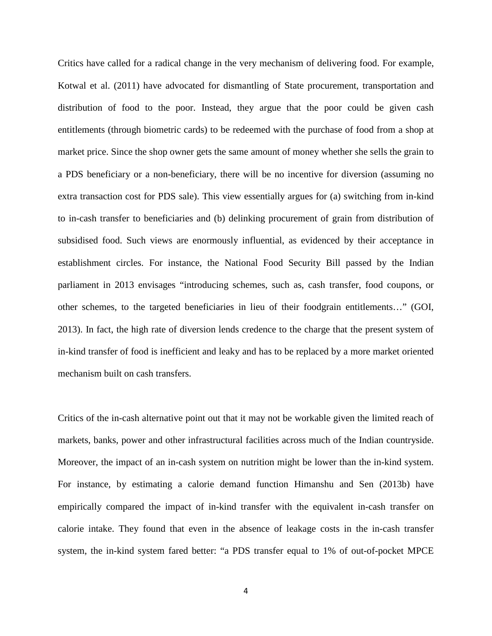Critics have called for a radical change in the very mechanism of delivering food. For example, Kotwal et al. (2011) have advocated for dismantling of State procurement, transportation and distribution of food to the poor. Instead, they argue that the poor could be given cash entitlements (through biometric cards) to be redeemed with the purchase of food from a shop at market price. Since the shop owner gets the same amount of money whether she sells the grain to a PDS beneficiary or a non-beneficiary, there will be no incentive for diversion (assuming no extra transaction cost for PDS sale). This view essentially argues for (a) switching from in-kind to in-cash transfer to beneficiaries and (b) delinking procurement of grain from distribution of subsidised food. Such views are enormously influential, as evidenced by their acceptance in establishment circles. For instance, the National Food Security Bill passed by the Indian parliament in 2013 envisages "introducing schemes, such as, cash transfer, food coupons, or other schemes, to the targeted beneficiaries in lieu of their foodgrain entitlements…" (GOI, 2013). In fact, the high rate of diversion lends credence to the charge that the present system of in-kind transfer of food is inefficient and leaky and has to be replaced by a more market oriented mechanism built on cash transfers.

Critics of the in-cash alternative point out that it may not be workable given the limited reach of markets, banks, power and other infrastructural facilities across much of the Indian countryside. Moreover, the impact of an in-cash system on nutrition might be lower than the in-kind system. For instance, by estimating a calorie demand function Himanshu and Sen (2013b) have empirically compared the impact of in-kind transfer with the equivalent in-cash transfer on calorie intake. They found that even in the absence of leakage costs in the in-cash transfer system, the in-kind system fared better: "a PDS transfer equal to 1% of out-of-pocket MPCE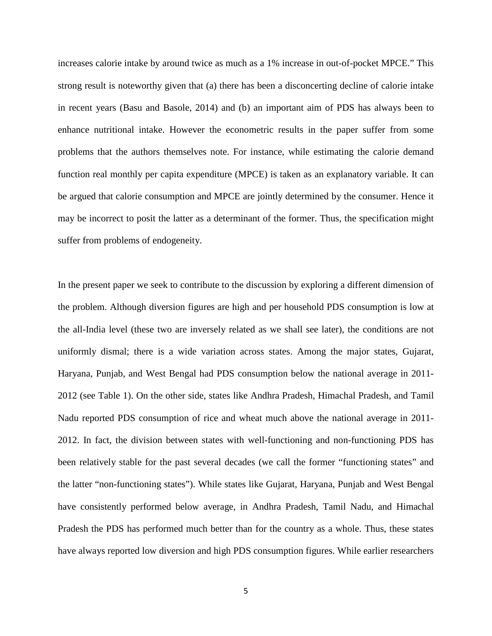increases calorie intake by around twice as much as a 1% increase in out-of-pocket MPCE." This strong result is noteworthy given that (a) there has been a disconcerting decline of calorie intake in recent years (Basu and Basole, 2014) and (b) an important aim of PDS has always been to enhance nutritional intake. However the econometric results in the paper suffer from some problems that the authors themselves note. For instance, while estimating the calorie demand function real monthly per capita expenditure (MPCE) is taken as an explanatory variable. It can be argued that calorie consumption and MPCE are jointly determined by the consumer. Hence it may be incorrect to posit the latter as a determinant of the former. Thus, the specification might suffer from problems of endogeneity.

In the present paper we seek to contribute to the discussion by exploring a different dimension of the problem. Although diversion figures are high and per household PDS consumption is low at the all-India level (these two are inversely related as we shall see later), the conditions are not uniformly dismal; there is a wide variation across states. Among the major states, Gujarat, Haryana, Punjab, and West Bengal had PDS consumption below the national average in 2011- 2012 (see Table 1). On the other side, states like Andhra Pradesh, Himachal Pradesh, and Tamil Nadu reported PDS consumption of rice and wheat much above the national average in 2011- 2012. In fact, the division between states with well-functioning and non-functioning PDS has been relatively stable for the past several decades (we call the former "functioning states" and the latter "non-functioning states"). While states like Gujarat, Haryana, Punjab and West Bengal have consistently performed below average, in Andhra Pradesh, Tamil Nadu, and Himachal Pradesh the PDS has performed much better than for the country as a whole. Thus, these states have always reported low diversion and high PDS consumption figures. While earlier researchers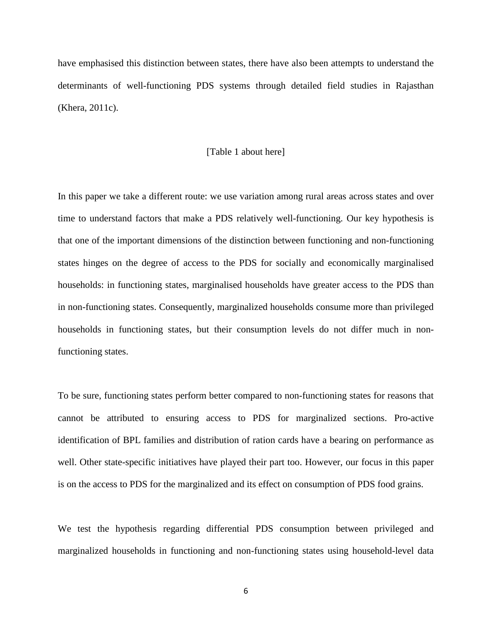have emphasised this distinction between states, there have also been attempts to understand the determinants of well-functioning PDS systems through detailed field studies in Rajasthan (Khera, 2011c).

#### [Table 1 about here]

In this paper we take a different route: we use variation among rural areas across states and over time to understand factors that make a PDS relatively well-functioning. Our key hypothesis is that one of the important dimensions of the distinction between functioning and non-functioning states hinges on the degree of access to the PDS for socially and economically marginalised households: in functioning states, marginalised households have greater access to the PDS than in non-functioning states. Consequently, marginalized households consume more than privileged households in functioning states, but their consumption levels do not differ much in nonfunctioning states.

To be sure, functioning states perform better compared to non-functioning states for reasons that cannot be attributed to ensuring access to PDS for marginalized sections. Pro-active identification of BPL families and distribution of ration cards have a bearing on performance as well. Other state-specific initiatives have played their part too. However, our focus in this paper is on the access to PDS for the marginalized and its effect on consumption of PDS food grains.

We test the hypothesis regarding differential PDS consumption between privileged and marginalized households in functioning and non-functioning states using household-level data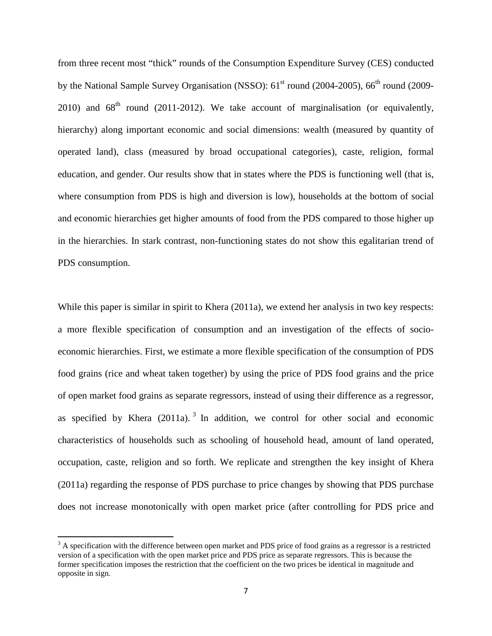from three recent most "thick" rounds of the Consumption Expenditure Survey (CES) conducted by the National Sample Survey Organisation (NSSO):  $61<sup>st</sup>$  round (2004-2005),  $66<sup>th</sup>$  round (2009-2010) and  $68<sup>th</sup>$  round (2011-2012). We take account of marginalisation (or equivalently, hierarchy) along important economic and social dimensions: wealth (measured by quantity of operated land), class (measured by broad occupational categories), caste, religion, formal education, and gender. Our results show that in states where the PDS is functioning well (that is, where consumption from PDS is high and diversion is low), households at the bottom of social and economic hierarchies get higher amounts of food from the PDS compared to those higher up in the hierarchies. In stark contrast, non-functioning states do not show this egalitarian trend of PDS consumption.

While this paper is similar in spirit to Khera (2011a), we extend her analysis in two key respects: a more flexible specification of consumption and an investigation of the effects of socioeconomic hierarchies. First, we estimate a more flexible specification of the consumption of PDS food grains (rice and wheat taken together) by using the price of PDS food grains and the price of open market food grains as separate regressors, instead of using their difference as a regressor, as specified by Khera  $(2011a)$ .<sup>[3](#page-8-0)</sup> In addition, we control for other social and economic characteristics of households such as schooling of household head, amount of land operated, occupation, caste, religion and so forth. We replicate and strengthen the key insight of Khera (2011a) regarding the response of PDS purchase to price changes by showing that PDS purchase does not increase monotonically with open market price (after controlling for PDS price and

<span id="page-8-0"></span> $3$  A specification with the difference between open market and PDS price of food grains as a regressor is a restricted version of a specification with the open market price and PDS price as separate regressors. This is because the former specification imposes the restriction that the coefficient on the two prices be identical in magnitude and opposite in sign.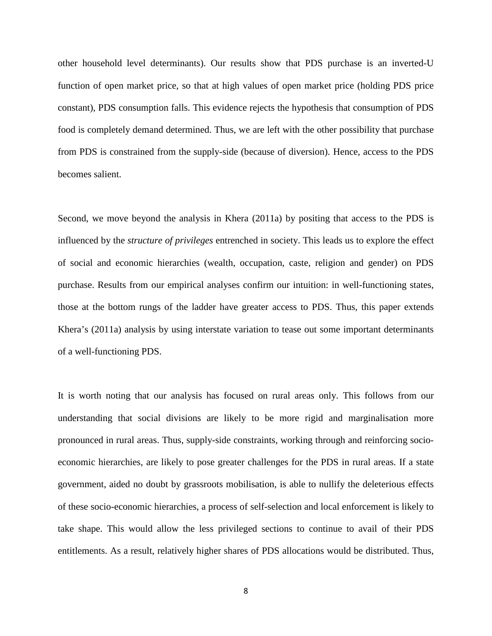other household level determinants). Our results show that PDS purchase is an inverted-U function of open market price, so that at high values of open market price (holding PDS price constant), PDS consumption falls. This evidence rejects the hypothesis that consumption of PDS food is completely demand determined. Thus, we are left with the other possibility that purchase from PDS is constrained from the supply-side (because of diversion). Hence, access to the PDS becomes salient.

Second, we move beyond the analysis in Khera (2011a) by positing that access to the PDS is influenced by the *structure of privileges* entrenched in society. This leads us to explore the effect of social and economic hierarchies (wealth, occupation, caste, religion and gender) on PDS purchase. Results from our empirical analyses confirm our intuition: in well-functioning states, those at the bottom rungs of the ladder have greater access to PDS. Thus, this paper extends Khera's (2011a) analysis by using interstate variation to tease out some important determinants of a well-functioning PDS.

It is worth noting that our analysis has focused on rural areas only. This follows from our understanding that social divisions are likely to be more rigid and marginalisation more pronounced in rural areas. Thus, supply-side constraints, working through and reinforcing socioeconomic hierarchies, are likely to pose greater challenges for the PDS in rural areas. If a state government, aided no doubt by grassroots mobilisation, is able to nullify the deleterious effects of these socio-economic hierarchies, a process of self-selection and local enforcement is likely to take shape. This would allow the less privileged sections to continue to avail of their PDS entitlements. As a result, relatively higher shares of PDS allocations would be distributed. Thus,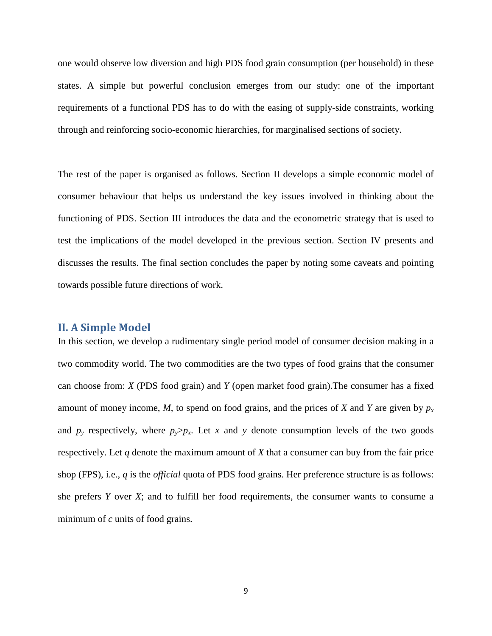one would observe low diversion and high PDS food grain consumption (per household) in these states. A simple but powerful conclusion emerges from our study: one of the important requirements of a functional PDS has to do with the easing of supply-side constraints, working through and reinforcing socio-economic hierarchies, for marginalised sections of society.

The rest of the paper is organised as follows. Section II develops a simple economic model of consumer behaviour that helps us understand the key issues involved in thinking about the functioning of PDS. Section III introduces the data and the econometric strategy that is used to test the implications of the model developed in the previous section. Section IV presents and discusses the results. The final section concludes the paper by noting some caveats and pointing towards possible future directions of work.

#### **II. A Simple Model**

In this section, we develop a rudimentary single period model of consumer decision making in a two commodity world. The two commodities are the two types of food grains that the consumer can choose from: *X* (PDS food grain) and *Y* (open market food grain).The consumer has a fixed amount of money income, *M*, to spend on food grains, and the prices of *X* and *Y* are given by  $p_x$ and  $p_y$  respectively, where  $p_y > p_x$ . Let x and y denote consumption levels of the two goods respectively. Let *q* denote the maximum amount of *X* that a consumer can buy from the fair price shop (FPS), i.e., *q* is the *official* quota of PDS food grains. Her preference structure is as follows: she prefers *Y* over *X*; and to fulfill her food requirements, the consumer wants to consume a minimum of *c* units of food grains.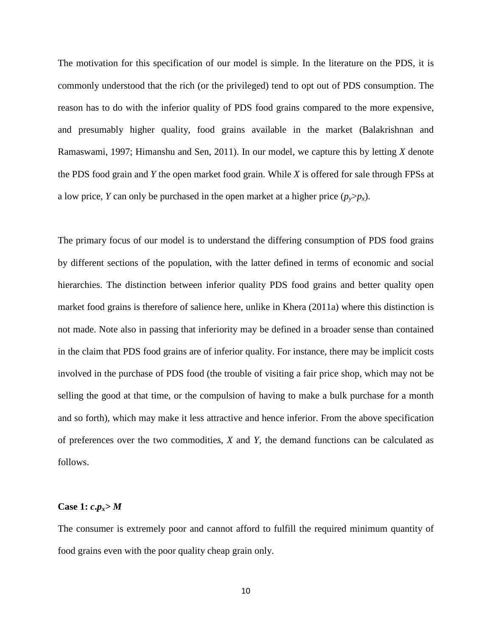The motivation for this specification of our model is simple. In the literature on the PDS, it is commonly understood that the rich (or the privileged) tend to opt out of PDS consumption. The reason has to do with the inferior quality of PDS food grains compared to the more expensive, and presumably higher quality, food grains available in the market (Balakrishnan and Ramaswami, 1997; Himanshu and Sen, 2011). In our model, we capture this by letting *X* denote the PDS food grain and *Y* the open market food grain. While *X* is offered for sale through FPSs at a low price, *Y* can only be purchased in the open market at a higher price  $(p_v > p_x)$ .

The primary focus of our model is to understand the differing consumption of PDS food grains by different sections of the population, with the latter defined in terms of economic and social hierarchies. The distinction between inferior quality PDS food grains and better quality open market food grains is therefore of salience here, unlike in Khera (2011a) where this distinction is not made. Note also in passing that inferiority may be defined in a broader sense than contained in the claim that PDS food grains are of inferior quality. For instance, there may be implicit costs involved in the purchase of PDS food (the trouble of visiting a fair price shop, which may not be selling the good at that time, or the compulsion of having to make a bulk purchase for a month and so forth), which may make it less attractive and hence inferior. From the above specification of preferences over the two commodities, *X* and *Y*, the demand functions can be calculated as follows.

#### **Case 1:**  $c \cdot p_x > M$

The consumer is extremely poor and cannot afford to fulfill the required minimum quantity of food grains even with the poor quality cheap grain only.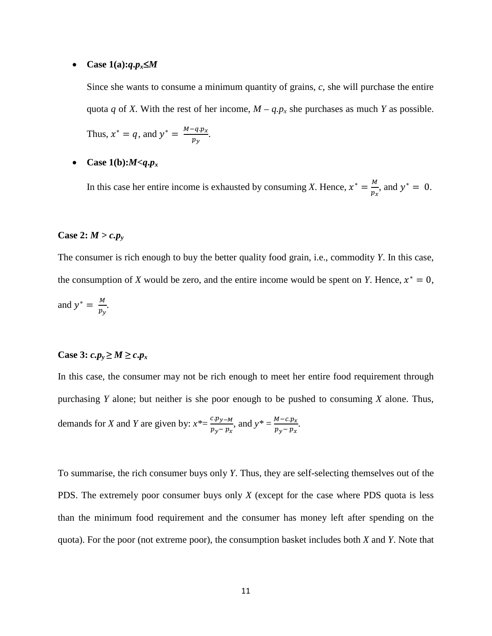#### • **Case 1(a):***q***.***p*<sub>x</sub>≤*M*

Since she wants to consume a minimum quantity of grains, *c*, she will purchase the entire quota *q* of *X*. With the rest of her income,  $M - q.p_x$  she purchases as much *Y* as possible.

Thus, 
$$
x^* = q
$$
, and  $y^* = \frac{M - q \cdot p_x}{p_y}$ .

• Case  $1(b):M < q.p_x$ 

In this case her entire income is exhausted by consuming *X*. Hence,  $x^* = \frac{M}{p_x}$ , and  $y^* = 0$ .

#### **Case 2:**  $M > c.p_v$

The consumer is rich enough to buy the better quality food grain, i.e., commodity *Y*. In this case, the consumption of *X* would be zero, and the entire income would be spent on *Y*. Hence,  $x^* = 0$ , and  $y^* = \frac{M}{p_y}$ .

#### Case 3:  $c.p_y \ge M \ge c.p_x$

In this case, the consumer may not be rich enough to meet her entire food requirement through purchasing *Y* alone; but neither is she poor enough to be pushed to consuming *X* alone. Thus, demands for *X* and *Y* are given by:  $x^* = \frac{c \cdot p_{y-M}}{p_y - p_x}$ , and  $y^* = \frac{M - c \cdot p_x}{p_y - p_x}$  $\frac{p_y - p_x}{p_y - p_x}.$ 

To summarise, the rich consumer buys only *Y*. Thus, they are self-selecting themselves out of the PDS. The extremely poor consumer buys only *X* (except for the case where PDS quota is less than the minimum food requirement and the consumer has money left after spending on the quota). For the poor (not extreme poor), the consumption basket includes both *X* and *Y*. Note that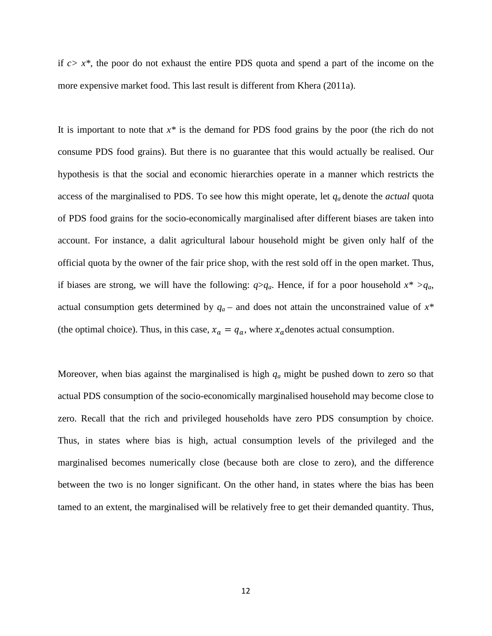if *c> x\**, the poor do not exhaust the entire PDS quota and spend a part of the income on the more expensive market food. This last result is different from Khera (2011a).

It is important to note that  $x^*$  is the demand for PDS food grains by the poor (the rich do not consume PDS food grains). But there is no guarantee that this would actually be realised. Our hypothesis is that the social and economic hierarchies operate in a manner which restricts the access of the marginalised to PDS. To see how this might operate, let *qa* denote the *actual* quota of PDS food grains for the socio-economically marginalised after different biases are taken into account. For instance, a dalit agricultural labour household might be given only half of the official quota by the owner of the fair price shop, with the rest sold off in the open market. Thus, if biases are strong, we will have the following:  $q > q_a$ . Hence, if for a poor household  $x^* > q_a$ , actual consumption gets determined by  $q_a$  – and does not attain the unconstrained value of  $x^*$ (the optimal choice). Thus, in this case,  $x_a = q_a$ , where  $x_a$  denotes actual consumption.

Moreover, when bias against the marginalised is high *qa* might be pushed down to zero so that actual PDS consumption of the socio-economically marginalised household may become close to zero. Recall that the rich and privileged households have zero PDS consumption by choice. Thus, in states where bias is high, actual consumption levels of the privileged and the marginalised becomes numerically close (because both are close to zero), and the difference between the two is no longer significant. On the other hand, in states where the bias has been tamed to an extent, the marginalised will be relatively free to get their demanded quantity. Thus,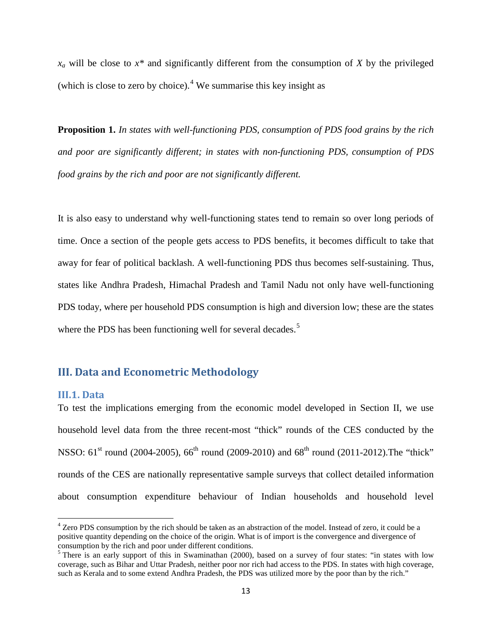$x_a$  will be close to  $x^*$  and significantly different from the consumption of *X* by the privileged (which is close to zero by choice).<sup>[4](#page-14-0)</sup> We summarise this key insight as

**Proposition 1.** *In states with well-functioning PDS, consumption of PDS food grains by the rich and poor are significantly different; in states with non-functioning PDS, consumption of PDS food grains by the rich and poor are not significantly different.*

It is also easy to understand why well-functioning states tend to remain so over long periods of time. Once a section of the people gets access to PDS benefits, it becomes difficult to take that away for fear of political backlash. A well-functioning PDS thus becomes self-sustaining. Thus, states like Andhra Pradesh, Himachal Pradesh and Tamil Nadu not only have well-functioning PDS today, where per household PDS consumption is high and diversion low; these are the states where the PDS has been functioning well for several decades.<sup>[5](#page-14-1)</sup>

#### **III. Data and Econometric Methodology**

#### **III.1. Data**

To test the implications emerging from the economic model developed in Section II, we use household level data from the three recent-most "thick" rounds of the CES conducted by the NSSO:  $61^{st}$  round (2004-2005),  $66^{th}$  round (2009-2010) and  $68^{th}$  round (2011-2012). The "thick" rounds of the CES are nationally representative sample surveys that collect detailed information about consumption expenditure behaviour of Indian households and household level

<span id="page-14-0"></span><sup>&</sup>lt;sup>4</sup> Zero PDS consumption by the rich should be taken as an abstraction of the model. Instead of zero, it could be a positive quantity depending on the choice of the origin. What is of import is the convergence and divergence of consumption by the rich and poor under different conditions.

<span id="page-14-1"></span><sup>&</sup>lt;sup>5</sup> There is an early support of this in Swaminathan (2000), based on a survey of four states: "in states with low coverage, such as Bihar and Uttar Pradesh, neither poor nor rich had access to the PDS. In states with high coverage, such as Kerala and to some extend Andhra Pradesh, the PDS was utilized more by the poor than by the rich."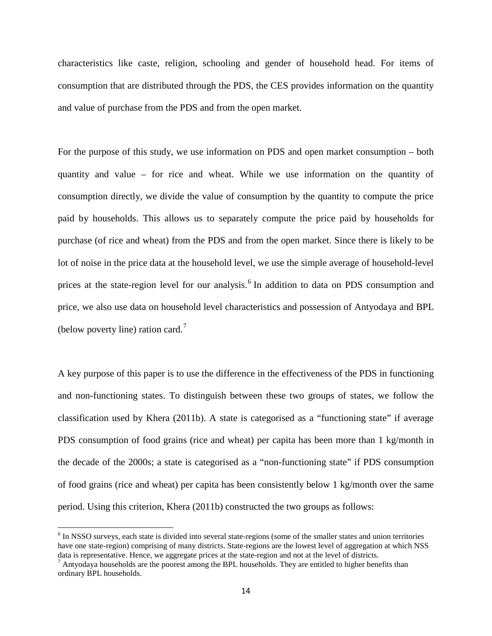characteristics like caste, religion, schooling and gender of household head. For items of consumption that are distributed through the PDS, the CES provides information on the quantity and value of purchase from the PDS and from the open market.

For the purpose of this study, we use information on PDS and open market consumption – both quantity and value – for rice and wheat. While we use information on the quantity of consumption directly, we divide the value of consumption by the quantity to compute the price paid by households. This allows us to separately compute the price paid by households for purchase (of rice and wheat) from the PDS and from the open market. Since there is likely to be lot of noise in the price data at the household level, we use the simple average of household-level prices at the state-region level for our analysis.<sup>[6](#page-15-0)</sup> In addition to data on PDS consumption and price, we also use data on household level characteristics and possession of Antyodaya and BPL (below poverty line) ration card.<sup>[7](#page-15-1)</sup>

A key purpose of this paper is to use the difference in the effectiveness of the PDS in functioning and non-functioning states. To distinguish between these two groups of states, we follow the classification used by Khera (2011b). A state is categorised as a "functioning state" if average PDS consumption of food grains (rice and wheat) per capita has been more than 1 kg/month in the decade of the 2000s; a state is categorised as a "non-functioning state" if PDS consumption of food grains (rice and wheat) per capita has been consistently below 1 kg/month over the same period. Using this criterion, Khera (2011b) constructed the two groups as follows:

<span id="page-15-0"></span><sup>&</sup>lt;sup>6</sup> In NSSO surveys, each state is divided into several state-regions (some of the smaller states and union territories have one state-region) comprising of many districts. State-regions are the lowest level of aggregation at which NSS data is representative. Hence, we aggregate prices at the state-region and not at the level of districts.<br><sup>7</sup> Antyodaya households are the poorest among the BPL households. They are entitled to higher benefits than

<span id="page-15-1"></span>ordinary BPL households.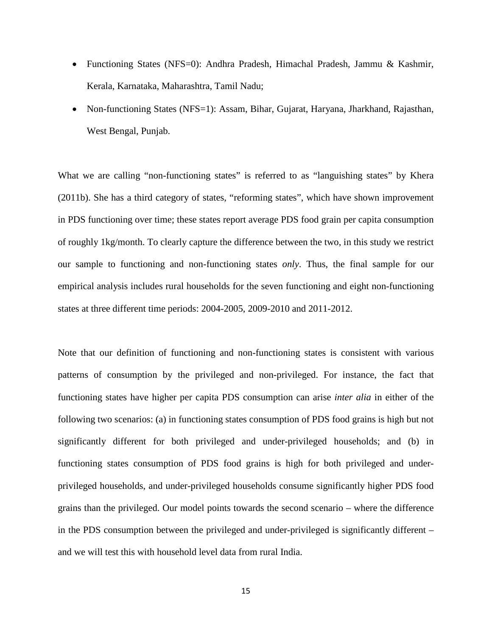- Functioning States (NFS=0): Andhra Pradesh, Himachal Pradesh, Jammu & Kashmir, Kerala, Karnataka, Maharashtra, Tamil Nadu;
- Non-functioning States (NFS=1): Assam, Bihar, Gujarat, Haryana, Jharkhand, Rajasthan, West Bengal, Punjab.

What we are calling "non-functioning states" is referred to as "languishing states" by Khera (2011b). She has a third category of states, "reforming states", which have shown improvement in PDS functioning over time; these states report average PDS food grain per capita consumption of roughly 1kg/month. To clearly capture the difference between the two, in this study we restrict our sample to functioning and non-functioning states *only*. Thus, the final sample for our empirical analysis includes rural households for the seven functioning and eight non-functioning states at three different time periods: 2004-2005, 2009-2010 and 2011-2012.

Note that our definition of functioning and non-functioning states is consistent with various patterns of consumption by the privileged and non-privileged. For instance, the fact that functioning states have higher per capita PDS consumption can arise *inter alia* in either of the following two scenarios: (a) in functioning states consumption of PDS food grains is high but not significantly different for both privileged and under-privileged households; and (b) in functioning states consumption of PDS food grains is high for both privileged and underprivileged households, and under-privileged households consume significantly higher PDS food grains than the privileged. Our model points towards the second scenario – where the difference in the PDS consumption between the privileged and under-privileged is significantly different – and we will test this with household level data from rural India.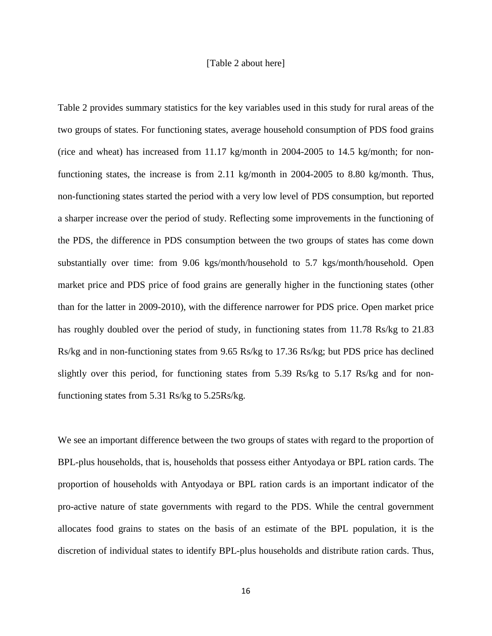#### [Table 2 about here]

Table 2 provides summary statistics for the key variables used in this study for rural areas of the two groups of states. For functioning states, average household consumption of PDS food grains (rice and wheat) has increased from 11.17 kg/month in 2004-2005 to 14.5 kg/month; for nonfunctioning states, the increase is from 2.11 kg/month in 2004-2005 to 8.80 kg/month. Thus, non-functioning states started the period with a very low level of PDS consumption, but reported a sharper increase over the period of study. Reflecting some improvements in the functioning of the PDS, the difference in PDS consumption between the two groups of states has come down substantially over time: from 9.06 kgs/month/household to 5.7 kgs/month/household. Open market price and PDS price of food grains are generally higher in the functioning states (other than for the latter in 2009-2010), with the difference narrower for PDS price. Open market price has roughly doubled over the period of study, in functioning states from 11.78 Rs/kg to 21.83 Rs/kg and in non-functioning states from 9.65 Rs/kg to 17.36 Rs/kg; but PDS price has declined slightly over this period, for functioning states from 5.39 Rs/kg to 5.17 Rs/kg and for nonfunctioning states from 5.31 Rs/kg to 5.25Rs/kg.

We see an important difference between the two groups of states with regard to the proportion of BPL-plus households, that is, households that possess either Antyodaya or BPL ration cards. The proportion of households with Antyodaya or BPL ration cards is an important indicator of the pro-active nature of state governments with regard to the PDS. While the central government allocates food grains to states on the basis of an estimate of the BPL population, it is the discretion of individual states to identify BPL-plus households and distribute ration cards. Thus,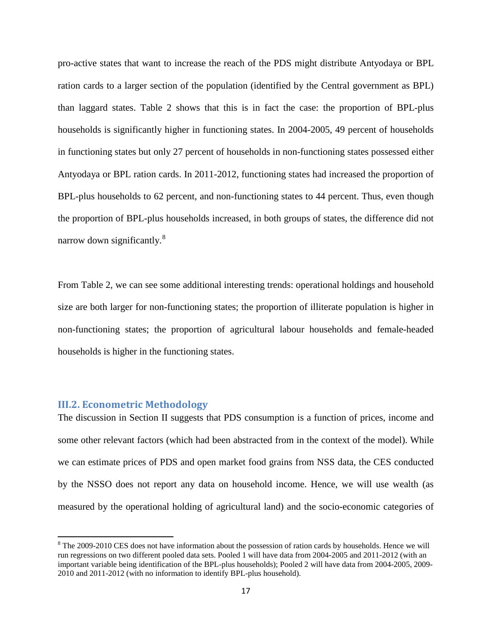pro-active states that want to increase the reach of the PDS might distribute Antyodaya or BPL ration cards to a larger section of the population (identified by the Central government as BPL) than laggard states. Table 2 shows that this is in fact the case: the proportion of BPL-plus households is significantly higher in functioning states. In 2004-2005, 49 percent of households in functioning states but only 27 percent of households in non-functioning states possessed either Antyodaya or BPL ration cards. In 2011-2012, functioning states had increased the proportion of BPL-plus households to 62 percent, and non-functioning states to 44 percent. Thus, even though the proportion of BPL-plus households increased, in both groups of states, the difference did not narrow down significantly.<sup>[8](#page-18-0)</sup>

From Table 2, we can see some additional interesting trends: operational holdings and household size are both larger for non-functioning states; the proportion of illiterate population is higher in non-functioning states; the proportion of agricultural labour households and female-headed households is higher in the functioning states.

#### **III.2. Econometric Methodology**

The discussion in Section II suggests that PDS consumption is a function of prices, income and some other relevant factors (which had been abstracted from in the context of the model). While we can estimate prices of PDS and open market food grains from NSS data, the CES conducted by the NSSO does not report any data on household income. Hence, we will use wealth (as measured by the operational holding of agricultural land) and the socio-economic categories of

<span id="page-18-0"></span><sup>&</sup>lt;sup>8</sup> The 2009-2010 CES does not have information about the possession of ration cards by households. Hence we will run regressions on two different pooled data sets. Pooled 1 will have data from 2004-2005 and 2011-2012 (with an important variable being identification of the BPL-plus households); Pooled 2 will have data from 2004-2005, 2009- 2010 and 2011-2012 (with no information to identify BPL-plus household).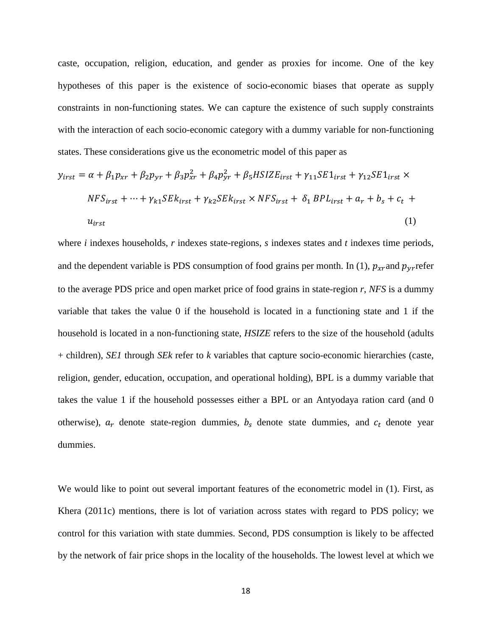caste, occupation, religion, education, and gender as proxies for income. One of the key hypotheses of this paper is the existence of socio-economic biases that operate as supply constraints in non-functioning states. We can capture the existence of such supply constraints with the interaction of each socio-economic category with a dummy variable for non-functioning states. These considerations give us the econometric model of this paper as

$$
y_{irst} = \alpha + \beta_1 p_{xr} + \beta_2 p_{yr} + \beta_3 p_{xr}^2 + \beta_4 p_{yr}^2 + \beta_5 HSIZE_{irst} + \gamma_{11} SE1_{irst} + \gamma_{12} SE1_{irst} \times
$$
  

$$
NFS_{irst} + \dots + \gamma_{k1} SEk_{irst} + \gamma_{k2} SEk_{irst} \times NFS_{irst} + \delta_1 BPL_{irst} + a_r + b_s + c_t +
$$
  

$$
u_{irst}
$$
 (1)

where *i* indexes households, *r* indexes state-regions, *s* indexes states and *t* indexes time periods, and the dependent variable is PDS consumption of food grains per month. In (1),  $p_{xr}$  and  $p_{yr}$  refer to the average PDS price and open market price of food grains in state-region *r*, *NFS* is a dummy variable that takes the value 0 if the household is located in a functioning state and 1 if the household is located in a non-functioning state, *HSIZE* refers to the size of the household (adults + children), *SE1* through *SEk* refer to *k* variables that capture socio-economic hierarchies (caste, religion, gender, education, occupation, and operational holding), BPL is a dummy variable that takes the value 1 if the household possesses either a BPL or an Antyodaya ration card (and 0 otherwise),  $a_r$  denote state-region dummies,  $b_s$  denote state dummies, and  $c_t$  denote year dummies.

We would like to point out several important features of the econometric model in (1). First, as Khera (2011c) mentions, there is lot of variation across states with regard to PDS policy; we control for this variation with state dummies. Second, PDS consumption is likely to be affected by the network of fair price shops in the locality of the households. The lowest level at which we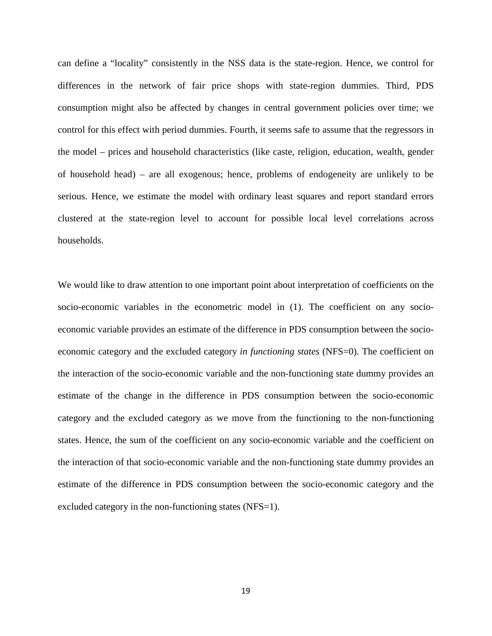can define a "locality" consistently in the NSS data is the state-region. Hence, we control for differences in the network of fair price shops with state-region dummies. Third, PDS consumption might also be affected by changes in central government policies over time; we control for this effect with period dummies. Fourth, it seems safe to assume that the regressors in the model – prices and household characteristics (like caste, religion, education, wealth, gender of household head) – are all exogenous; hence, problems of endogeneity are unlikely to be serious. Hence, we estimate the model with ordinary least squares and report standard errors clustered at the state-region level to account for possible local level correlations across households.

We would like to draw attention to one important point about interpretation of coefficients on the socio-economic variables in the econometric model in (1). The coefficient on any socioeconomic variable provides an estimate of the difference in PDS consumption between the socioeconomic category and the excluded category *in functioning states* (NFS=0). The coefficient on the interaction of the socio-economic variable and the non-functioning state dummy provides an estimate of the change in the difference in PDS consumption between the socio-economic category and the excluded category as we move from the functioning to the non-functioning states. Hence, the sum of the coefficient on any socio-economic variable and the coefficient on the interaction of that socio-economic variable and the non-functioning state dummy provides an estimate of the difference in PDS consumption between the socio-economic category and the excluded category in the non-functioning states (NFS=1).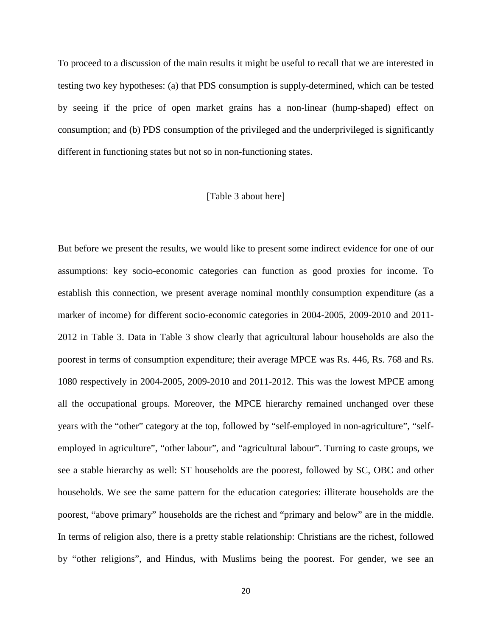To proceed to a discussion of the main results it might be useful to recall that we are interested in testing two key hypotheses: (a) that PDS consumption is supply-determined, which can be tested by seeing if the price of open market grains has a non-linear (hump-shaped) effect on consumption; and (b) PDS consumption of the privileged and the underprivileged is significantly different in functioning states but not so in non-functioning states.

#### [Table 3 about here]

But before we present the results, we would like to present some indirect evidence for one of our assumptions: key socio-economic categories can function as good proxies for income. To establish this connection, we present average nominal monthly consumption expenditure (as a marker of income) for different socio-economic categories in 2004-2005, 2009-2010 and 2011- 2012 in Table 3. Data in Table 3 show clearly that agricultural labour households are also the poorest in terms of consumption expenditure; their average MPCE was Rs. 446, Rs. 768 and Rs. 1080 respectively in 2004-2005, 2009-2010 and 2011-2012. This was the lowest MPCE among all the occupational groups. Moreover, the MPCE hierarchy remained unchanged over these years with the "other" category at the top, followed by "self-employed in non-agriculture", "selfemployed in agriculture", "other labour", and "agricultural labour". Turning to caste groups, we see a stable hierarchy as well: ST households are the poorest, followed by SC, OBC and other households. We see the same pattern for the education categories: illiterate households are the poorest, "above primary" households are the richest and "primary and below" are in the middle. In terms of religion also, there is a pretty stable relationship: Christians are the richest, followed by "other religions", and Hindus, with Muslims being the poorest. For gender, we see an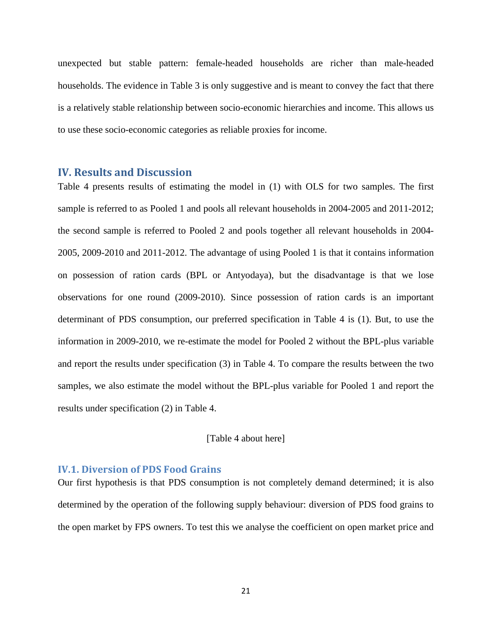unexpected but stable pattern: female-headed households are richer than male-headed households. The evidence in Table 3 is only suggestive and is meant to convey the fact that there is a relatively stable relationship between socio-economic hierarchies and income. This allows us to use these socio-economic categories as reliable proxies for income.

#### **IV. Results and Discussion**

Table 4 presents results of estimating the model in (1) with OLS for two samples. The first sample is referred to as Pooled 1 and pools all relevant households in 2004-2005 and 2011-2012; the second sample is referred to Pooled 2 and pools together all relevant households in 2004- 2005, 2009-2010 and 2011-2012. The advantage of using Pooled 1 is that it contains information on possession of ration cards (BPL or Antyodaya), but the disadvantage is that we lose observations for one round (2009-2010). Since possession of ration cards is an important determinant of PDS consumption, our preferred specification in Table 4 is (1). But, to use the information in 2009-2010, we re-estimate the model for Pooled 2 without the BPL-plus variable and report the results under specification (3) in Table 4. To compare the results between the two samples, we also estimate the model without the BPL-plus variable for Pooled 1 and report the results under specification (2) in Table 4.

#### [Table 4 about here]

#### **IV.1. Diversion of PDS Food Grains**

Our first hypothesis is that PDS consumption is not completely demand determined; it is also determined by the operation of the following supply behaviour: diversion of PDS food grains to the open market by FPS owners. To test this we analyse the coefficient on open market price and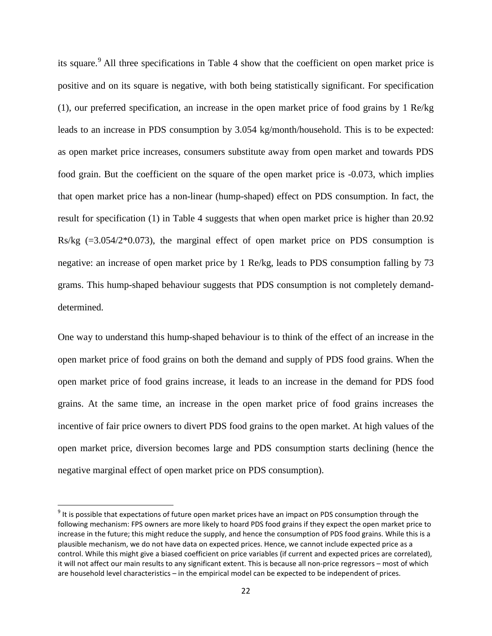its square.<sup>[9](#page-23-0)</sup> All three specifications in Table 4 show that the coefficient on open market price is positive and on its square is negative, with both being statistically significant. For specification (1), our preferred specification, an increase in the open market price of food grains by 1 Re/kg leads to an increase in PDS consumption by 3.054 kg/month/household. This is to be expected: as open market price increases, consumers substitute away from open market and towards PDS food grain. But the coefficient on the square of the open market price is -0.073, which implies that open market price has a non-linear (hump-shaped) effect on PDS consumption. In fact, the result for specification (1) in Table 4 suggests that when open market price is higher than 20.92  $Rs/kg$  (=3.054/2 $*0.073$ ), the marginal effect of open market price on PDS consumption is negative: an increase of open market price by 1 Re/kg, leads to PDS consumption falling by 73 grams. This hump-shaped behaviour suggests that PDS consumption is not completely demanddetermined.

One way to understand this hump-shaped behaviour is to think of the effect of an increase in the open market price of food grains on both the demand and supply of PDS food grains. When the open market price of food grains increase, it leads to an increase in the demand for PDS food grains. At the same time, an increase in the open market price of food grains increases the incentive of fair price owners to divert PDS food grains to the open market. At high values of the open market price, diversion becomes large and PDS consumption starts declining (hence the negative marginal effect of open market price on PDS consumption).

<span id="page-23-0"></span><sup>&</sup>lt;sup>9</sup> It is possible that expectations of future open market prices have an impact on PDS consumption through the following mechanism: FPS owners are more likely to hoard PDS food grains if they expect the open market price to increase in the future; this might reduce the supply, and hence the consumption of PDS food grains. While this is a plausible mechanism, we do not have data on expected prices. Hence, we cannot include expected price as a control. While this might give a biased coefficient on price variables (if current and expected prices are correlated), it will not affect our main results to any significant extent. This is because all non-price regressors – most of which are household level characteristics – in the empirical model can be expected to be independent of prices.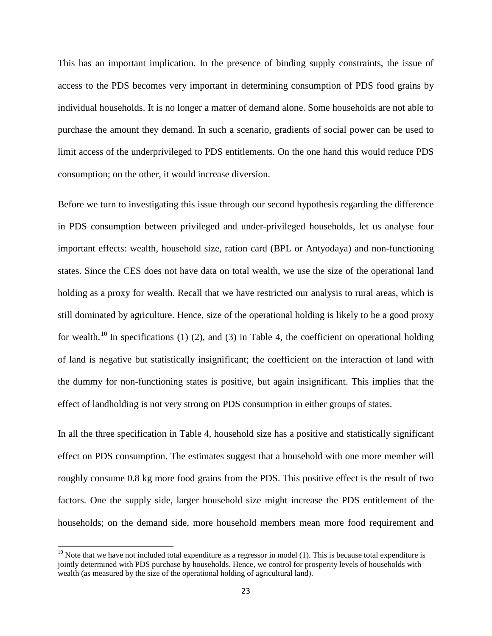This has an important implication. In the presence of binding supply constraints, the issue of access to the PDS becomes very important in determining consumption of PDS food grains by individual households. It is no longer a matter of demand alone. Some households are not able to purchase the amount they demand. In such a scenario, gradients of social power can be used to limit access of the underprivileged to PDS entitlements. On the one hand this would reduce PDS consumption; on the other, it would increase diversion.

Before we turn to investigating this issue through our second hypothesis regarding the difference in PDS consumption between privileged and under-privileged households, let us analyse four important effects: wealth, household size, ration card (BPL or Antyodaya) and non-functioning states. Since the CES does not have data on total wealth, we use the size of the operational land holding as a proxy for wealth. Recall that we have restricted our analysis to rural areas, which is still dominated by agriculture. Hence, size of the operational holding is likely to be a good proxy for wealth.<sup>[10](#page-24-0)</sup> In specifications (1) (2), and (3) in Table 4, the coefficient on operational holding of land is negative but statistically insignificant; the coefficient on the interaction of land with the dummy for non-functioning states is positive, but again insignificant. This implies that the effect of landholding is not very strong on PDS consumption in either groups of states.

In all the three specification in Table 4, household size has a positive and statistically significant effect on PDS consumption. The estimates suggest that a household with one more member will roughly consume 0.8 kg more food grains from the PDS. This positive effect is the result of two factors. One the supply side, larger household size might increase the PDS entitlement of the households; on the demand side, more household members mean more food requirement and

<span id="page-24-0"></span> $10$  Note that we have not included total expenditure as a regressor in model (1). This is because total expenditure is jointly determined with PDS purchase by households. Hence, we control for prosperity levels of households with wealth (as measured by the size of the operational holding of agricultural land).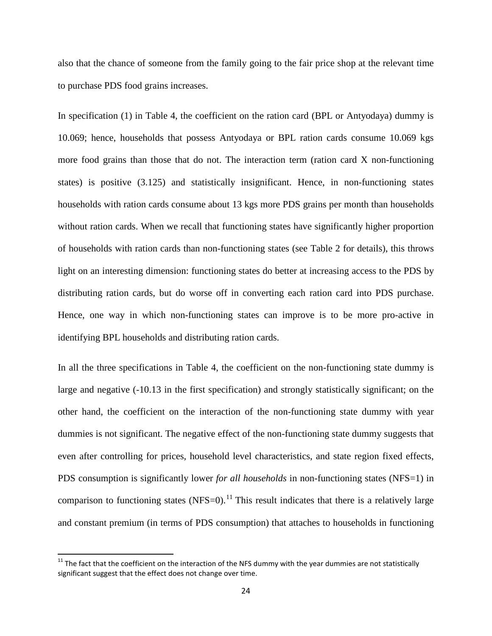also that the chance of someone from the family going to the fair price shop at the relevant time to purchase PDS food grains increases.

In specification (1) in Table 4, the coefficient on the ration card (BPL or Antyodaya) dummy is 10.069; hence, households that possess Antyodaya or BPL ration cards consume 10.069 kgs more food grains than those that do not. The interaction term (ration card X non-functioning states) is positive (3.125) and statistically insignificant. Hence, in non-functioning states households with ration cards consume about 13 kgs more PDS grains per month than households without ration cards. When we recall that functioning states have significantly higher proportion of households with ration cards than non-functioning states (see Table 2 for details), this throws light on an interesting dimension: functioning states do better at increasing access to the PDS by distributing ration cards, but do worse off in converting each ration card into PDS purchase. Hence, one way in which non-functioning states can improve is to be more pro-active in identifying BPL households and distributing ration cards.

In all the three specifications in Table 4, the coefficient on the non-functioning state dummy is large and negative (-10.13 in the first specification) and strongly statistically significant; on the other hand, the coefficient on the interaction of the non-functioning state dummy with year dummies is not significant. The negative effect of the non-functioning state dummy suggests that even after controlling for prices, household level characteristics, and state region fixed effects, PDS consumption is significantly lower *for all households* in non-functioning states (NFS=1) in comparison to functioning states (NFS=0).<sup>[11](#page-25-0)</sup> This result indicates that there is a relatively large and constant premium (in terms of PDS consumption) that attaches to households in functioning

<span id="page-25-0"></span> $11$  The fact that the coefficient on the interaction of the NFS dummy with the year dummies are not statistically significant suggest that the effect does not change over time.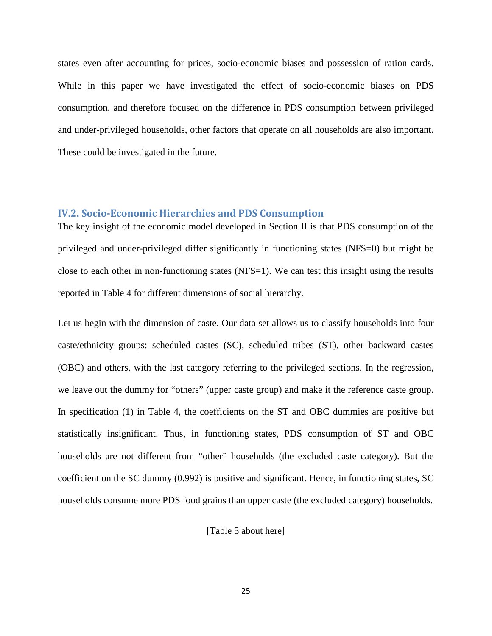states even after accounting for prices, socio-economic biases and possession of ration cards. While in this paper we have investigated the effect of socio-economic biases on PDS consumption, and therefore focused on the difference in PDS consumption between privileged and under-privileged households, other factors that operate on all households are also important. These could be investigated in the future.

#### **IV.2. Socio-Economic Hierarchies and PDS Consumption**

The key insight of the economic model developed in Section II is that PDS consumption of the privileged and under-privileged differ significantly in functioning states (NFS=0) but might be close to each other in non-functioning states (NFS=1). We can test this insight using the results reported in Table 4 for different dimensions of social hierarchy.

Let us begin with the dimension of caste. Our data set allows us to classify households into four caste/ethnicity groups: scheduled castes (SC), scheduled tribes (ST), other backward castes (OBC) and others, with the last category referring to the privileged sections. In the regression, we leave out the dummy for "others" (upper caste group) and make it the reference caste group. In specification (1) in Table 4, the coefficients on the ST and OBC dummies are positive but statistically insignificant. Thus, in functioning states, PDS consumption of ST and OBC households are not different from "other" households (the excluded caste category). But the coefficient on the SC dummy (0.992) is positive and significant. Hence, in functioning states, SC households consume more PDS food grains than upper caste (the excluded category) households.

[Table 5 about here]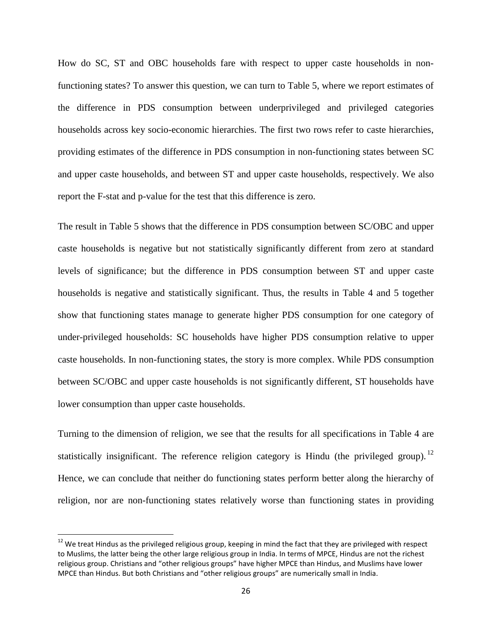How do SC, ST and OBC households fare with respect to upper caste households in nonfunctioning states? To answer this question, we can turn to Table 5, where we report estimates of the difference in PDS consumption between underprivileged and privileged categories households across key socio-economic hierarchies. The first two rows refer to caste hierarchies, providing estimates of the difference in PDS consumption in non-functioning states between SC and upper caste households, and between ST and upper caste households, respectively. We also report the F-stat and p-value for the test that this difference is zero.

The result in Table 5 shows that the difference in PDS consumption between SC/OBC and upper caste households is negative but not statistically significantly different from zero at standard levels of significance; but the difference in PDS consumption between ST and upper caste households is negative and statistically significant. Thus, the results in Table 4 and 5 together show that functioning states manage to generate higher PDS consumption for one category of under-privileged households: SC households have higher PDS consumption relative to upper caste households. In non-functioning states, the story is more complex. While PDS consumption between SC/OBC and upper caste households is not significantly different, ST households have lower consumption than upper caste households.

Turning to the dimension of religion, we see that the results for all specifications in Table 4 are statistically insignificant. The reference religion category is Hindu (the privileged group).<sup>[12](#page-27-0)</sup> Hence, we can conclude that neither do functioning states perform better along the hierarchy of religion, nor are non-functioning states relatively worse than functioning states in providing

<span id="page-27-0"></span><sup>&</sup>lt;sup>12</sup> We treat Hindus as the privileged religious group, keeping in mind the fact that they are privileged with respect to Muslims, the latter being the other large religious group in India. In terms of MPCE, Hindus are not the richest religious group. Christians and "other religious groups" have higher MPCE than Hindus, and Muslims have lower MPCE than Hindus. But both Christians and "other religious groups" are numerically small in India.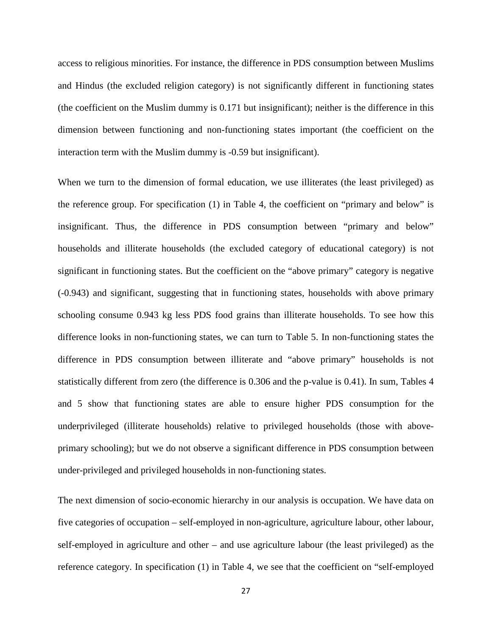access to religious minorities. For instance, the difference in PDS consumption between Muslims and Hindus (the excluded religion category) is not significantly different in functioning states (the coefficient on the Muslim dummy is 0.171 but insignificant); neither is the difference in this dimension between functioning and non-functioning states important (the coefficient on the interaction term with the Muslim dummy is -0.59 but insignificant).

When we turn to the dimension of formal education, we use illiterates (the least privileged) as the reference group. For specification (1) in Table 4, the coefficient on "primary and below" is insignificant. Thus, the difference in PDS consumption between "primary and below" households and illiterate households (the excluded category of educational category) is not significant in functioning states. But the coefficient on the "above primary" category is negative (-0.943) and significant, suggesting that in functioning states, households with above primary schooling consume 0.943 kg less PDS food grains than illiterate households. To see how this difference looks in non-functioning states, we can turn to Table 5. In non-functioning states the difference in PDS consumption between illiterate and "above primary" households is not statistically different from zero (the difference is 0.306 and the p-value is 0.41). In sum, Tables 4 and 5 show that functioning states are able to ensure higher PDS consumption for the underprivileged (illiterate households) relative to privileged households (those with aboveprimary schooling); but we do not observe a significant difference in PDS consumption between under-privileged and privileged households in non-functioning states.

The next dimension of socio-economic hierarchy in our analysis is occupation. We have data on five categories of occupation – self-employed in non-agriculture, agriculture labour, other labour, self-employed in agriculture and other – and use agriculture labour (the least privileged) as the reference category. In specification (1) in Table 4, we see that the coefficient on "self-employed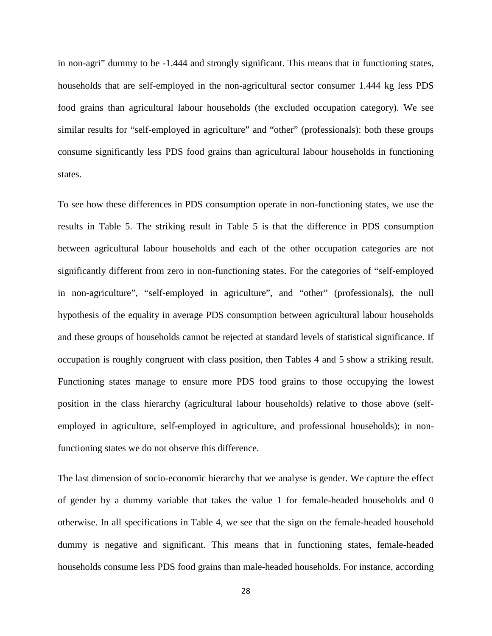in non-agri" dummy to be -1.444 and strongly significant. This means that in functioning states, households that are self-employed in the non-agricultural sector consumer 1.444 kg less PDS food grains than agricultural labour households (the excluded occupation category). We see similar results for "self-employed in agriculture" and "other" (professionals): both these groups consume significantly less PDS food grains than agricultural labour households in functioning states.

To see how these differences in PDS consumption operate in non-functioning states, we use the results in Table 5. The striking result in Table 5 is that the difference in PDS consumption between agricultural labour households and each of the other occupation categories are not significantly different from zero in non-functioning states. For the categories of "self-employed in non-agriculture", "self-employed in agriculture", and "other" (professionals), the null hypothesis of the equality in average PDS consumption between agricultural labour households and these groups of households cannot be rejected at standard levels of statistical significance. If occupation is roughly congruent with class position, then Tables 4 and 5 show a striking result. Functioning states manage to ensure more PDS food grains to those occupying the lowest position in the class hierarchy (agricultural labour households) relative to those above (selfemployed in agriculture, self-employed in agriculture, and professional households); in nonfunctioning states we do not observe this difference.

The last dimension of socio-economic hierarchy that we analyse is gender. We capture the effect of gender by a dummy variable that takes the value 1 for female-headed households and 0 otherwise. In all specifications in Table 4, we see that the sign on the female-headed household dummy is negative and significant. This means that in functioning states, female-headed households consume less PDS food grains than male-headed households. For instance, according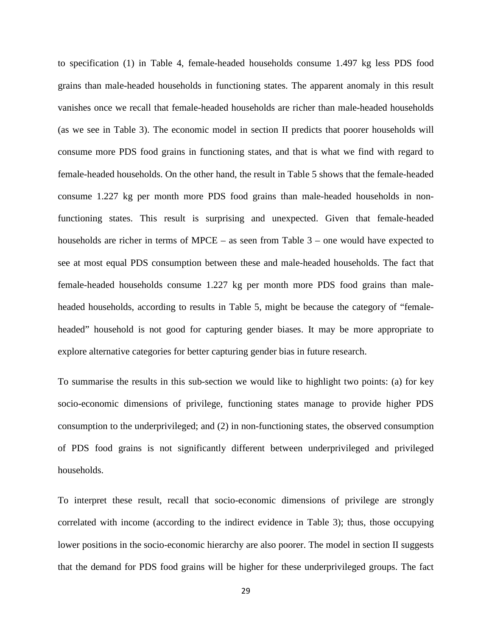to specification (1) in Table 4, female-headed households consume 1.497 kg less PDS food grains than male-headed households in functioning states. The apparent anomaly in this result vanishes once we recall that female-headed households are richer than male-headed households (as we see in Table 3). The economic model in section II predicts that poorer households will consume more PDS food grains in functioning states, and that is what we find with regard to female-headed households. On the other hand, the result in Table 5 shows that the female-headed consume 1.227 kg per month more PDS food grains than male-headed households in nonfunctioning states. This result is surprising and unexpected. Given that female-headed households are richer in terms of MPCE – as seen from Table 3 – one would have expected to see at most equal PDS consumption between these and male-headed households. The fact that female-headed households consume 1.227 kg per month more PDS food grains than maleheaded households, according to results in Table 5, might be because the category of "femaleheaded" household is not good for capturing gender biases. It may be more appropriate to explore alternative categories for better capturing gender bias in future research.

To summarise the results in this sub-section we would like to highlight two points: (a) for key socio-economic dimensions of privilege, functioning states manage to provide higher PDS consumption to the underprivileged; and (2) in non-functioning states, the observed consumption of PDS food grains is not significantly different between underprivileged and privileged households.

To interpret these result, recall that socio-economic dimensions of privilege are strongly correlated with income (according to the indirect evidence in Table 3); thus, those occupying lower positions in the socio-economic hierarchy are also poorer. The model in section II suggests that the demand for PDS food grains will be higher for these underprivileged groups. The fact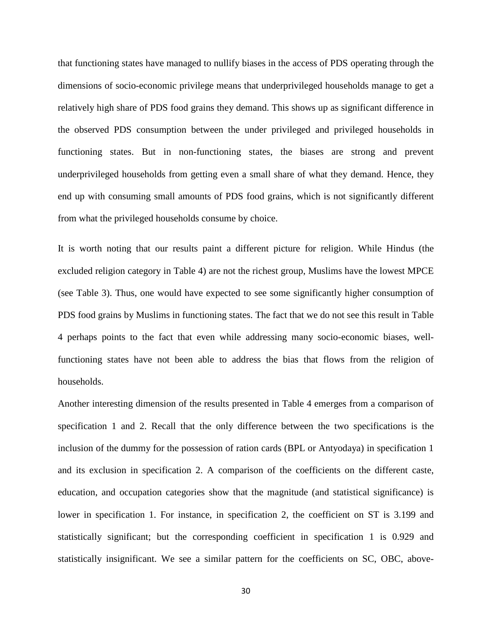that functioning states have managed to nullify biases in the access of PDS operating through the dimensions of socio-economic privilege means that underprivileged households manage to get a relatively high share of PDS food grains they demand. This shows up as significant difference in the observed PDS consumption between the under privileged and privileged households in functioning states. But in non-functioning states, the biases are strong and prevent underprivileged households from getting even a small share of what they demand. Hence, they end up with consuming small amounts of PDS food grains, which is not significantly different from what the privileged households consume by choice.

It is worth noting that our results paint a different picture for religion. While Hindus (the excluded religion category in Table 4) are not the richest group, Muslims have the lowest MPCE (see Table 3). Thus, one would have expected to see some significantly higher consumption of PDS food grains by Muslims in functioning states. The fact that we do not see this result in Table 4 perhaps points to the fact that even while addressing many socio-economic biases, wellfunctioning states have not been able to address the bias that flows from the religion of households.

Another interesting dimension of the results presented in Table 4 emerges from a comparison of specification 1 and 2. Recall that the only difference between the two specifications is the inclusion of the dummy for the possession of ration cards (BPL or Antyodaya) in specification 1 and its exclusion in specification 2. A comparison of the coefficients on the different caste, education, and occupation categories show that the magnitude (and statistical significance) is lower in specification 1. For instance, in specification 2, the coefficient on ST is 3.199 and statistically significant; but the corresponding coefficient in specification 1 is 0.929 and statistically insignificant. We see a similar pattern for the coefficients on SC, OBC, above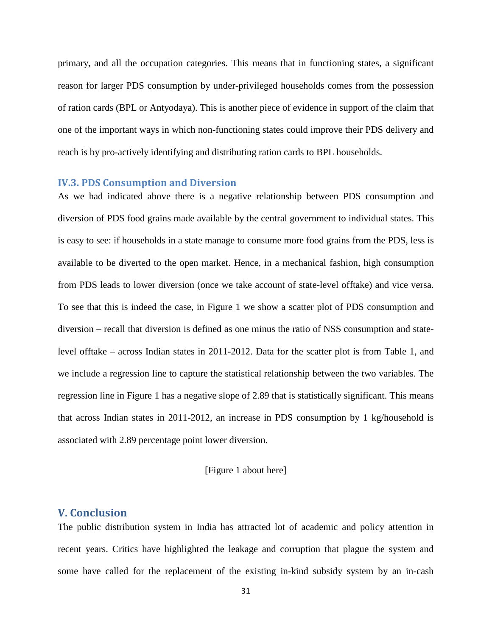primary, and all the occupation categories. This means that in functioning states, a significant reason for larger PDS consumption by under-privileged households comes from the possession of ration cards (BPL or Antyodaya). This is another piece of evidence in support of the claim that one of the important ways in which non-functioning states could improve their PDS delivery and reach is by pro-actively identifying and distributing ration cards to BPL households.

#### **IV.3. PDS Consumption and Diversion**

As we had indicated above there is a negative relationship between PDS consumption and diversion of PDS food grains made available by the central government to individual states. This is easy to see: if households in a state manage to consume more food grains from the PDS, less is available to be diverted to the open market. Hence, in a mechanical fashion, high consumption from PDS leads to lower diversion (once we take account of state-level offtake) and vice versa. To see that this is indeed the case, in Figure 1 we show a scatter plot of PDS consumption and diversion – recall that diversion is defined as one minus the ratio of NSS consumption and statelevel offtake – across Indian states in 2011-2012. Data for the scatter plot is from Table 1, and we include a regression line to capture the statistical relationship between the two variables. The regression line in Figure 1 has a negative slope of 2.89 that is statistically significant. This means that across Indian states in 2011-2012, an increase in PDS consumption by 1 kg/household is associated with 2.89 percentage point lower diversion.

#### [Figure 1 about here]

#### **V. Conclusion**

The public distribution system in India has attracted lot of academic and policy attention in recent years. Critics have highlighted the leakage and corruption that plague the system and some have called for the replacement of the existing in-kind subsidy system by an in-cash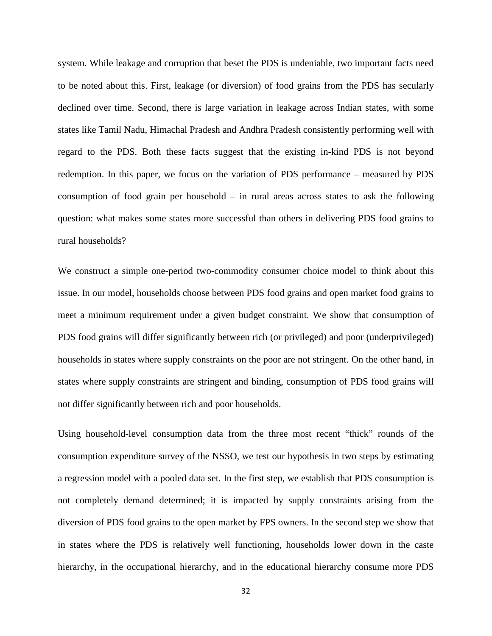system. While leakage and corruption that beset the PDS is undeniable, two important facts need to be noted about this. First, leakage (or diversion) of food grains from the PDS has secularly declined over time. Second, there is large variation in leakage across Indian states, with some states like Tamil Nadu, Himachal Pradesh and Andhra Pradesh consistently performing well with regard to the PDS. Both these facts suggest that the existing in-kind PDS is not beyond redemption. In this paper, we focus on the variation of PDS performance – measured by PDS consumption of food grain per household – in rural areas across states to ask the following question: what makes some states more successful than others in delivering PDS food grains to rural households?

We construct a simple one-period two-commodity consumer choice model to think about this issue. In our model, households choose between PDS food grains and open market food grains to meet a minimum requirement under a given budget constraint. We show that consumption of PDS food grains will differ significantly between rich (or privileged) and poor (underprivileged) households in states where supply constraints on the poor are not stringent. On the other hand, in states where supply constraints are stringent and binding, consumption of PDS food grains will not differ significantly between rich and poor households.

Using household-level consumption data from the three most recent "thick" rounds of the consumption expenditure survey of the NSSO, we test our hypothesis in two steps by estimating a regression model with a pooled data set. In the first step, we establish that PDS consumption is not completely demand determined; it is impacted by supply constraints arising from the diversion of PDS food grains to the open market by FPS owners. In the second step we show that in states where the PDS is relatively well functioning, households lower down in the caste hierarchy, in the occupational hierarchy, and in the educational hierarchy consume more PDS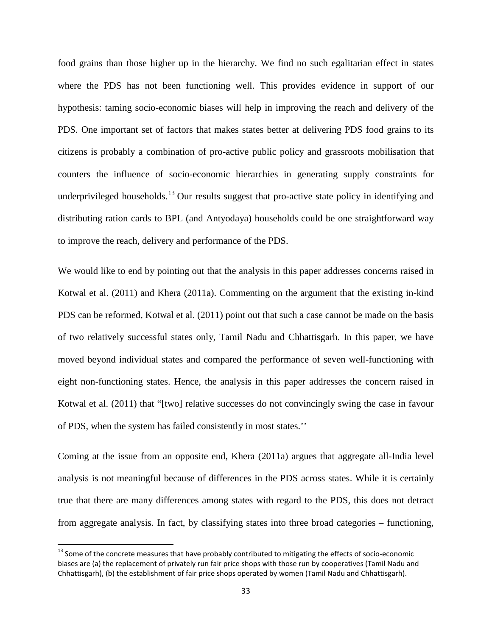food grains than those higher up in the hierarchy. We find no such egalitarian effect in states where the PDS has not been functioning well. This provides evidence in support of our hypothesis: taming socio-economic biases will help in improving the reach and delivery of the PDS. One important set of factors that makes states better at delivering PDS food grains to its citizens is probably a combination of pro-active public policy and grassroots mobilisation that counters the influence of socio-economic hierarchies in generating supply constraints for underprivileged households.<sup>[13](#page-34-0)</sup> Our results suggest that pro-active state policy in identifying and distributing ration cards to BPL (and Antyodaya) households could be one straightforward way to improve the reach, delivery and performance of the PDS.

We would like to end by pointing out that the analysis in this paper addresses concerns raised in Kotwal et al. (2011) and Khera (2011a). Commenting on the argument that the existing in-kind PDS can be reformed, Kotwal et al. (2011) point out that such a case cannot be made on the basis of two relatively successful states only, Tamil Nadu and Chhattisgarh. In this paper, we have moved beyond individual states and compared the performance of seven well-functioning with eight non-functioning states. Hence, the analysis in this paper addresses the concern raised in Kotwal et al. (2011) that "[two] relative successes do not convincingly swing the case in favour of PDS, when the system has failed consistently in most states.''

Coming at the issue from an opposite end, Khera (2011a) argues that aggregate all-India level analysis is not meaningful because of differences in the PDS across states. While it is certainly true that there are many differences among states with regard to the PDS, this does not detract from aggregate analysis. In fact, by classifying states into three broad categories – functioning,

<span id="page-34-0"></span> $13$  Some of the concrete measures that have probably contributed to mitigating the effects of socio-economic biases are (a) the replacement of privately run fair price shops with those run by cooperatives (Tamil Nadu and Chhattisgarh), (b) the establishment of fair price shops operated by women (Tamil Nadu and Chhattisgarh).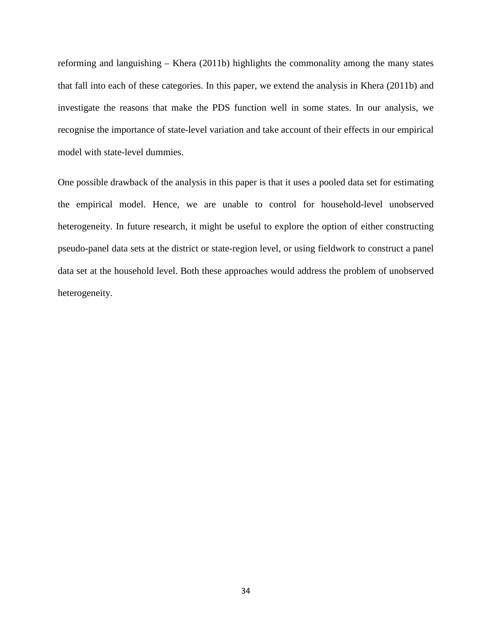reforming and languishing – Khera (2011b) highlights the commonality among the many states that fall into each of these categories. In this paper, we extend the analysis in Khera (2011b) and investigate the reasons that make the PDS function well in some states. In our analysis, we recognise the importance of state-level variation and take account of their effects in our empirical model with state-level dummies.

One possible drawback of the analysis in this paper is that it uses a pooled data set for estimating the empirical model. Hence, we are unable to control for household-level unobserved heterogeneity. In future research, it might be useful to explore the option of either constructing pseudo-panel data sets at the district or state-region level, or using fieldwork to construct a panel data set at the household level. Both these approaches would address the problem of unobserved heterogeneity.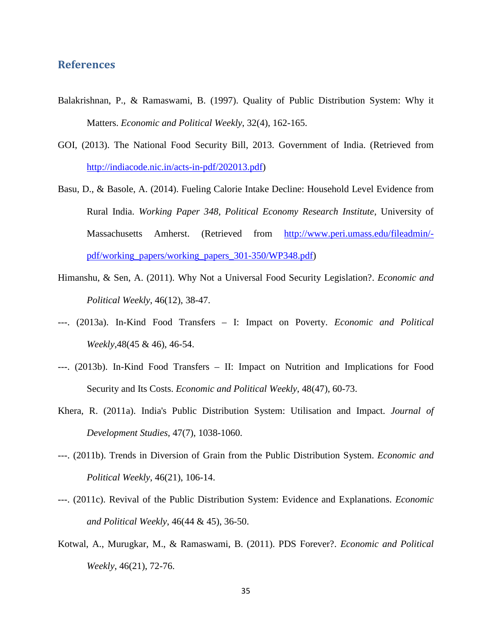#### **References**

- Balakrishnan, P., & Ramaswami, B. (1997). Quality of Public Distribution System: Why it Matters. *Economic and Political Weekly*, 32(4), 162-165.
- GOI, (2013). The National Food Security Bill, 2013. Government of India. (Retrieved from [http://indiacode.nic.in/acts-in-pdf/202013.pdf\)](http://indiacode.nic.in/acts-in-pdf/202013.pdf)
- Basu, D., & Basole, A. (2014). Fueling Calorie Intake Decline: Household Level Evidence from Rural India. *Working Paper 348, Political Economy Research Institute*, University of Massachusetts Amherst. (Retrieved from [http://www.peri.umass.edu/fileadmin/](http://www.peri.umass.edu/fileadmin/pdf/working_papers/working_papers_301-350/WP348.pdf) [pdf/working\\_papers/working\\_papers\\_301-350/WP348.pdf\)](http://www.peri.umass.edu/fileadmin/pdf/working_papers/working_papers_301-350/WP348.pdf)
- Himanshu, & Sen, A. (2011). Why Not a Universal Food Security Legislation?. *Economic and Political Weekly*, 46(12), 38-47.
- ---. (2013a). In-Kind Food Transfers I: Impact on Poverty. *Economic and Political Weekly*,48(45 & 46), 46-54.
- ---. (2013b). In-Kind Food Transfers II: Impact on Nutrition and Implications for Food Security and Its Costs. *Economic and Political Weekly*, 48(47), 60-73.
- Khera, R. (2011a). India's Public Distribution System: Utilisation and Impact. *Journal of Development Studies*, 47(7), 1038-1060.
- ---. (2011b). Trends in Diversion of Grain from the Public Distribution System. *Economic and Political Weekly*, 46(21), 106-14.
- ---. (2011c). Revival of the Public Distribution System: Evidence and Explanations. *Economic and Political Weekly*, 46(44 & 45), 36-50.
- Kotwal, A., Murugkar, M., & Ramaswami, B. (2011). PDS Forever?. *Economic and Political Weekly*, 46(21), 72-76.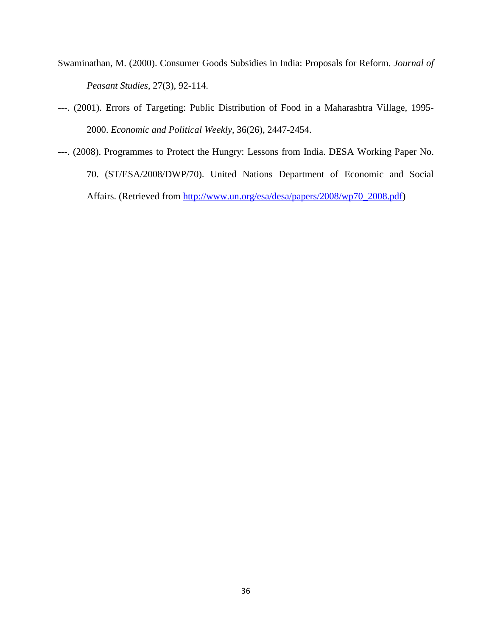- Swaminathan, M. (2000). Consumer Goods Subsidies in India: Proposals for Reform. *Journal of Peasant Studies*, 27(3), 92-114.
- ---. (2001). Errors of Targeting: Public Distribution of Food in a Maharashtra Village, 1995- 2000. *Economic and Political Weekly*, 36(26), 2447-2454.
- ---. (2008). Programmes to Protect the Hungry: Lessons from India. DESA Working Paper No. 70. (ST/ESA/2008/DWP/70). United Nations Department of Economic and Social Affairs. (Retrieved from [http://www.un.org/esa/desa/papers/2008/wp70\\_2008.pdf\)](http://www.un.org/esa/desa/papers/2008/wp70_2008.pdf)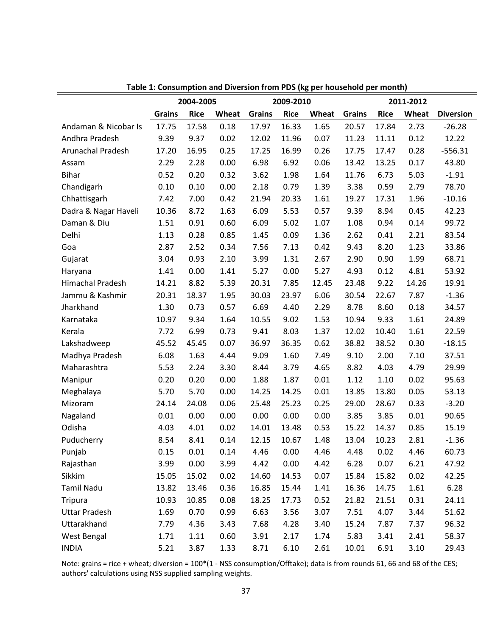|                         |               | 2004-2005   |       |               | 2009-2010   |       | 2011-2012     |             |       |                  |  |
|-------------------------|---------------|-------------|-------|---------------|-------------|-------|---------------|-------------|-------|------------------|--|
|                         | <b>Grains</b> | <b>Rice</b> | Wheat | <b>Grains</b> | <b>Rice</b> | Wheat | <b>Grains</b> | <b>Rice</b> | Wheat | <b>Diversion</b> |  |
| Andaman & Nicobar Is    | 17.75         | 17.58       | 0.18  | 17.97         | 16.33       | 1.65  | 20.57         | 17.84       | 2.73  | $-26.28$         |  |
| Andhra Pradesh          | 9.39          | 9.37        | 0.02  | 12.02         | 11.96       | 0.07  | 11.23         | 11.11       | 0.12  | 12.22            |  |
| Arunachal Pradesh       | 17.20         | 16.95       | 0.25  | 17.25         | 16.99       | 0.26  | 17.75         | 17.47       | 0.28  | $-556.31$        |  |
| Assam                   | 2.29          | 2.28        | 0.00  | 6.98          | 6.92        | 0.06  | 13.42         | 13.25       | 0.17  | 43.80            |  |
| <b>Bihar</b>            | 0.52          | 0.20        | 0.32  | 3.62          | 1.98        | 1.64  | 11.76         | 6.73        | 5.03  | $-1.91$          |  |
| Chandigarh              | 0.10          | 0.10        | 0.00  | 2.18          | 0.79        | 1.39  | 3.38          | 0.59        | 2.79  | 78.70            |  |
| Chhattisgarh            | 7.42          | 7.00        | 0.42  | 21.94         | 20.33       | 1.61  | 19.27         | 17.31       | 1.96  | $-10.16$         |  |
| Dadra & Nagar Haveli    | 10.36         | 8.72        | 1.63  | 6.09          | 5.53        | 0.57  | 9.39          | 8.94        | 0.45  | 42.23            |  |
| Daman & Diu             | 1.51          | 0.91        | 0.60  | 6.09          | 5.02        | 1.07  | 1.08          | 0.94        | 0.14  | 99.72            |  |
| Delhi                   | 1.13          | 0.28        | 0.85  | 1.45          | 0.09        | 1.36  | 2.62          | 0.41        | 2.21  | 83.54            |  |
| Goa                     | 2.87          | 2.52        | 0.34  | 7.56          | 7.13        | 0.42  | 9.43          | 8.20        | 1.23  | 33.86            |  |
| Gujarat                 | 3.04          | 0.93        | 2.10  | 3.99          | 1.31        | 2.67  | 2.90          | 0.90        | 1.99  | 68.71            |  |
| Haryana                 | 1.41          | 0.00        | 1.41  | 5.27          | 0.00        | 5.27  | 4.93          | 0.12        | 4.81  | 53.92            |  |
| <b>Himachal Pradesh</b> | 14.21         | 8.82        | 5.39  | 20.31         | 7.85        | 12.45 | 23.48         | 9.22        | 14.26 | 19.91            |  |
| Jammu & Kashmir         | 20.31         | 18.37       | 1.95  | 30.03         | 23.97       | 6.06  | 30.54         | 22.67       | 7.87  | $-1.36$          |  |
| Jharkhand               | 1.30          | 0.73        | 0.57  | 6.69          | 4.40        | 2.29  | 8.78          | 8.60        | 0.18  | 34.57            |  |
| Karnataka               | 10.97         | 9.34        | 1.64  | 10.55         | 9.02        | 1.53  | 10.94         | 9.33        | 1.61  | 24.89            |  |
| Kerala                  | 7.72          | 6.99        | 0.73  | 9.41          | 8.03        | 1.37  | 12.02         | 10.40       | 1.61  | 22.59            |  |
| Lakshadweep             | 45.52         | 45.45       | 0.07  | 36.97         | 36.35       | 0.62  | 38.82         | 38.52       | 0.30  | $-18.15$         |  |
| Madhya Pradesh          | 6.08          | 1.63        | 4.44  | 9.09          | 1.60        | 7.49  | 9.10          | 2.00        | 7.10  | 37.51            |  |
| Maharashtra             | 5.53          | 2.24        | 3.30  | 8.44          | 3.79        | 4.65  | 8.82          | 4.03        | 4.79  | 29.99            |  |
| Manipur                 | 0.20          | 0.20        | 0.00  | 1.88          | 1.87        | 0.01  | 1.12          | 1.10        | 0.02  | 95.63            |  |
| Meghalaya               | 5.70          | 5.70        | 0.00  | 14.25         | 14.25       | 0.01  | 13.85         | 13.80       | 0.05  | 53.13            |  |
| Mizoram                 | 24.14         | 24.08       | 0.06  | 25.48         | 25.23       | 0.25  | 29.00         | 28.67       | 0.33  | $-3.20$          |  |
| Nagaland                | 0.01          | 0.00        | 0.00  | 0.00          | 0.00        | 0.00  | 3.85          | 3.85        | 0.01  | 90.65            |  |
| Odisha                  | 4.03          | 4.01        | 0.02  | 14.01         | 13.48       | 0.53  | 15.22         | 14.37       | 0.85  | 15.19            |  |
| Puducherry              | 8.54          | 8.41        | 0.14  | 12.15         | 10.67       | 1.48  | 13.04         | 10.23       | 2.81  | $-1.36$          |  |
| Punjab                  | 0.15          | 0.01        | 0.14  | 4.46          | 0.00        | 4.46  | 4.48          | 0.02        | 4.46  | 60.73            |  |
| Rajasthan               | 3.99          | 0.00        | 3.99  | 4.42          | 0.00        | 4.42  | 6.28          | 0.07        | 6.21  | 47.92            |  |
| Sikkim                  | 15.05         | 15.02       | 0.02  | 14.60         | 14.53       | 0.07  | 15.84         | 15.82       | 0.02  | 42.25            |  |
| Tamil Nadu              | 13.82         | 13.46       | 0.36  | 16.85         | 15.44       | 1.41  | 16.36         | 14.75       | 1.61  | 6.28             |  |
| <b>Tripura</b>          | 10.93         | 10.85       | 0.08  | 18.25         | 17.73       | 0.52  | 21.82         | 21.51       | 0.31  | 24.11            |  |
| <b>Uttar Pradesh</b>    | 1.69          | 0.70        | 0.99  | 6.63          | 3.56        | 3.07  | 7.51          | 4.07        | 3.44  | 51.62            |  |
| Uttarakhand             | 7.79          | 4.36        | 3.43  | 7.68          | 4.28        | 3.40  | 15.24         | 7.87        | 7.37  | 96.32            |  |
| West Bengal             | 1.71          | 1.11        | 0.60  | 3.91          | 2.17        | 1.74  | 5.83          | 3.41        | 2.41  | 58.37            |  |
| <b>INDIA</b>            | 5.21          | 3.87        | 1.33  | 8.71          | 6.10        | 2.61  | 10.01         | 6.91        | 3.10  | 29.43            |  |

**Table 1: Consumption and Diversion from PDS (kg per household per month)**

Note: grains = rice + wheat; diversion = 100\*(1 - NSS consumption/Offtake); data is from rounds 61, 66 and 68 of the CES; authors' calculations using NSS supplied sampling weights.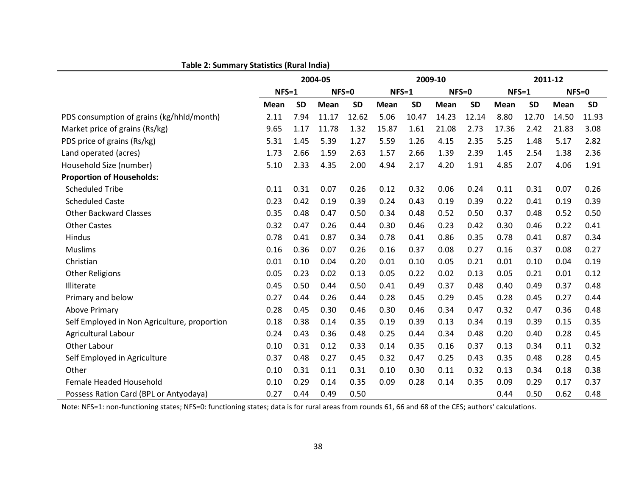|                                              | 2004-05 |           |             |           | 2009-10     |           |         | 2011-12   |             |           |           |           |
|----------------------------------------------|---------|-----------|-------------|-----------|-------------|-----------|---------|-----------|-------------|-----------|-----------|-----------|
|                                              | $NFS=1$ |           | $NFS=0$     |           | $NFS = 1$   |           | $NFS=0$ |           | $NFS=1$     |           | $NFS = 0$ |           |
|                                              | Mean    | <b>SD</b> | <b>Mean</b> | <b>SD</b> | <b>Mean</b> | <b>SD</b> | Mean    | <b>SD</b> | <b>Mean</b> | <b>SD</b> | Mean      | <b>SD</b> |
| PDS consumption of grains (kg/hhld/month)    | 2.11    | 7.94      | 11.17       | 12.62     | 5.06        | 10.47     | 14.23   | 12.14     | 8.80        | 12.70     | 14.50     | 11.93     |
| Market price of grains (Rs/kg)               | 9.65    | 1.17      | 11.78       | 1.32      | 15.87       | 1.61      | 21.08   | 2.73      | 17.36       | 2.42      | 21.83     | 3.08      |
| PDS price of grains (Rs/kg)                  | 5.31    | 1.45      | 5.39        | 1.27      | 5.59        | 1.26      | 4.15    | 2.35      | 5.25        | 1.48      | 5.17      | 2.82      |
| Land operated (acres)                        | 1.73    | 2.66      | 1.59        | 2.63      | 1.57        | 2.66      | 1.39    | 2.39      | 1.45        | 2.54      | 1.38      | 2.36      |
| Household Size (number)                      | 5.10    | 2.33      | 4.35        | 2.00      | 4.94        | 2.17      | 4.20    | 1.91      | 4.85        | 2.07      | 4.06      | 1.91      |
| <b>Proportion of Households:</b>             |         |           |             |           |             |           |         |           |             |           |           |           |
| <b>Scheduled Tribe</b>                       | 0.11    | 0.31      | 0.07        | 0.26      | 0.12        | 0.32      | 0.06    | 0.24      | 0.11        | 0.31      | 0.07      | 0.26      |
| <b>Scheduled Caste</b>                       | 0.23    | 0.42      | 0.19        | 0.39      | 0.24        | 0.43      | 0.19    | 0.39      | 0.22        | 0.41      | 0.19      | 0.39      |
| <b>Other Backward Classes</b>                | 0.35    | 0.48      | 0.47        | 0.50      | 0.34        | 0.48      | 0.52    | 0.50      | 0.37        | 0.48      | 0.52      | 0.50      |
| <b>Other Castes</b>                          | 0.32    | 0.47      | 0.26        | 0.44      | 0.30        | 0.46      | 0.23    | 0.42      | 0.30        | 0.46      | 0.22      | 0.41      |
| Hindus                                       | 0.78    | 0.41      | 0.87        | 0.34      | 0.78        | 0.41      | 0.86    | 0.35      | 0.78        | 0.41      | 0.87      | 0.34      |
| <b>Muslims</b>                               | 0.16    | 0.36      | 0.07        | 0.26      | 0.16        | 0.37      | 0.08    | 0.27      | 0.16        | 0.37      | 0.08      | 0.27      |
| Christian                                    | 0.01    | 0.10      | 0.04        | 0.20      | 0.01        | 0.10      | 0.05    | 0.21      | 0.01        | 0.10      | 0.04      | 0.19      |
| <b>Other Religions</b>                       | 0.05    | 0.23      | 0.02        | 0.13      | 0.05        | 0.22      | 0.02    | 0.13      | 0.05        | 0.21      | 0.01      | 0.12      |
| Illiterate                                   | 0.45    | 0.50      | 0.44        | 0.50      | 0.41        | 0.49      | 0.37    | 0.48      | 0.40        | 0.49      | 0.37      | 0.48      |
| Primary and below                            | 0.27    | 0.44      | 0.26        | 0.44      | 0.28        | 0.45      | 0.29    | 0.45      | 0.28        | 0.45      | 0.27      | 0.44      |
| <b>Above Primary</b>                         | 0.28    | 0.45      | 0.30        | 0.46      | 0.30        | 0.46      | 0.34    | 0.47      | 0.32        | 0.47      | 0.36      | 0.48      |
| Self Employed in Non Agriculture, proportion | 0.18    | 0.38      | 0.14        | 0.35      | 0.19        | 0.39      | 0.13    | 0.34      | 0.19        | 0.39      | 0.15      | 0.35      |
| Agricultural Labour                          | 0.24    | 0.43      | 0.36        | 0.48      | 0.25        | 0.44      | 0.34    | 0.48      | 0.20        | 0.40      | 0.28      | 0.45      |
| Other Labour                                 | 0.10    | 0.31      | 0.12        | 0.33      | 0.14        | 0.35      | 0.16    | 0.37      | 0.13        | 0.34      | 0.11      | 0.32      |
| Self Employed in Agriculture                 | 0.37    | 0.48      | 0.27        | 0.45      | 0.32        | 0.47      | 0.25    | 0.43      | 0.35        | 0.48      | 0.28      | 0.45      |
| Other                                        | 0.10    | 0.31      | 0.11        | 0.31      | 0.10        | 0.30      | 0.11    | 0.32      | 0.13        | 0.34      | 0.18      | 0.38      |
| Female Headed Household                      | 0.10    | 0.29      | 0.14        | 0.35      | 0.09        | 0.28      | 0.14    | 0.35      | 0.09        | 0.29      | 0.17      | 0.37      |
| Possess Ration Card (BPL or Antyodaya)       | 0.27    | 0.44      | 0.49        | 0.50      |             |           |         |           | 0.44        | 0.50      | 0.62      | 0.48      |

**Table 2: Summary Statistics (Rural India)**

Note: NFS=1: non-functioning states; NFS=0: functioning states; data is for rural areas from rounds 61, 66 and 68 of the CES; authors' calculations.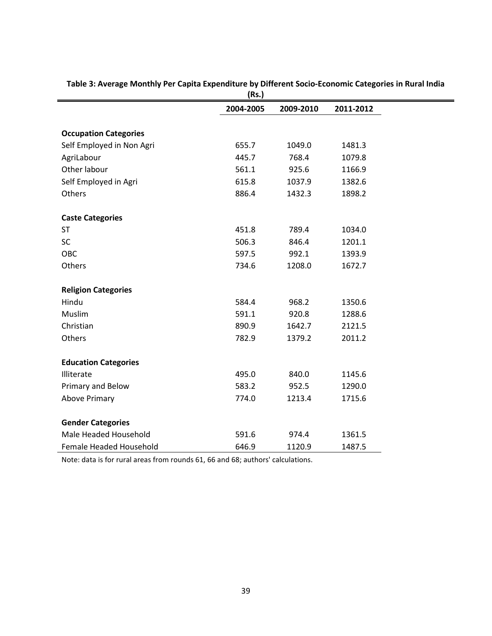|                              | ,,        |           |           |
|------------------------------|-----------|-----------|-----------|
|                              | 2004-2005 | 2009-2010 | 2011-2012 |
|                              |           |           |           |
| <b>Occupation Categories</b> |           |           |           |
| Self Employed in Non Agri    | 655.7     | 1049.0    | 1481.3    |
| AgriLabour                   | 445.7     | 768.4     | 1079.8    |
| Other labour                 | 561.1     | 925.6     | 1166.9    |
| Self Employed in Agri        | 615.8     | 1037.9    | 1382.6    |
| Others                       | 886.4     | 1432.3    | 1898.2    |
| <b>Caste Categories</b>      |           |           |           |
| <b>ST</b>                    | 451.8     | 789.4     | 1034.0    |
| SC                           | 506.3     | 846.4     | 1201.1    |
| OBC                          | 597.5     | 992.1     | 1393.9    |
| Others                       | 734.6     | 1208.0    | 1672.7    |
| <b>Religion Categories</b>   |           |           |           |
| Hindu                        | 584.4     | 968.2     | 1350.6    |
| Muslim                       | 591.1     | 920.8     | 1288.6    |
| Christian                    | 890.9     | 1642.7    | 2121.5    |
| Others                       | 782.9     | 1379.2    | 2011.2    |
| <b>Education Categories</b>  |           |           |           |
| Illiterate                   | 495.0     | 840.0     | 1145.6    |
| Primary and Below            | 583.2     | 952.5     | 1290.0    |
| <b>Above Primary</b>         | 774.0     | 1213.4    | 1715.6    |
| <b>Gender Categories</b>     |           |           |           |
| Male Headed Household        | 591.6     | 974.4     | 1361.5    |
| Female Headed Household      | 646.9     | 1120.9    | 1487.5    |

**Table 3: Average Monthly Per Capita Expenditure by Different Socio-Economic Categories in Rural India (Rs.)**

Note: data is for rural areas from rounds 61, 66 and 68; authors' calculations.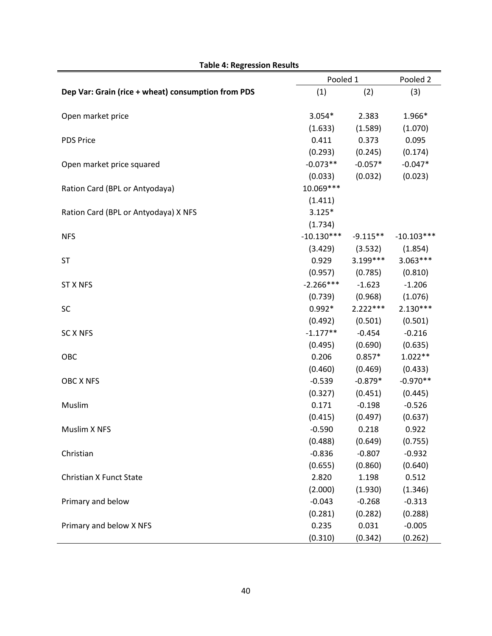|                                                    |              | Pooled 1   |              |  |  |
|----------------------------------------------------|--------------|------------|--------------|--|--|
| Dep Var: Grain (rice + wheat) consumption from PDS | (1)          | (2)        | (3)          |  |  |
| Open market price                                  | $3.054*$     | 2.383      | 1.966*       |  |  |
|                                                    | (1.633)      | (1.589)    | (1.070)      |  |  |
| <b>PDS Price</b>                                   | 0.411        | 0.373      | 0.095        |  |  |
|                                                    | (0.293)      | (0.245)    | (0.174)      |  |  |
| Open market price squared                          | $-0.073**$   | $-0.057*$  | $-0.047*$    |  |  |
|                                                    | (0.033)      | (0.032)    | (0.023)      |  |  |
| Ration Card (BPL or Antyodaya)                     | 10.069 ***   |            |              |  |  |
|                                                    | (1.411)      |            |              |  |  |
| Ration Card (BPL or Antyodaya) X NFS               | $3.125*$     |            |              |  |  |
|                                                    | (1.734)      |            |              |  |  |
| <b>NFS</b>                                         | $-10.130***$ | $-9.115**$ | $-10.103***$ |  |  |
|                                                    | (3.429)      | (3.532)    | (1.854)      |  |  |
| <b>ST</b>                                          | 0.929        | 3.199***   | $3.063***$   |  |  |
|                                                    | (0.957)      | (0.785)    | (0.810)      |  |  |
| <b>ST X NFS</b>                                    | $-2.266***$  | $-1.623$   | $-1.206$     |  |  |
|                                                    | (0.739)      | (0.968)    | (1.076)      |  |  |
| SC                                                 | $0.992*$     | $2.222***$ | $2.130***$   |  |  |
|                                                    | (0.492)      | (0.501)    | (0.501)      |  |  |
| <b>SC X NFS</b>                                    | $-1.177**$   | $-0.454$   | $-0.216$     |  |  |
|                                                    | (0.495)      | (0.690)    | (0.635)      |  |  |
| OBC                                                | 0.206        | $0.857*$   | $1.022**$    |  |  |
|                                                    | (0.460)      | (0.469)    | (0.433)      |  |  |
| OBC X NFS                                          | $-0.539$     | $-0.879*$  | $-0.970**$   |  |  |
|                                                    | (0.327)      | (0.451)    | (0.445)      |  |  |
| Muslim                                             | 0.171        | $-0.198$   | $-0.526$     |  |  |
|                                                    | (0.415)      | (0.497)    | (0.637)      |  |  |
| Muslim X NFS                                       | $-0.590$     | 0.218      | 0.922        |  |  |
|                                                    | (0.488)      | (0.649)    | (0.755)      |  |  |
| Christian                                          | $-0.836$     | $-0.807$   | $-0.932$     |  |  |
|                                                    | (0.655)      | (0.860)    | (0.640)      |  |  |
| Christian X Funct State                            | 2.820        | 1.198      | 0.512        |  |  |
|                                                    | (2.000)      | (1.930)    | (1.346)      |  |  |
| Primary and below                                  | $-0.043$     | $-0.268$   | $-0.313$     |  |  |
|                                                    | (0.281)      | (0.282)    | (0.288)      |  |  |
| Primary and below X NFS                            | 0.235        | 0.031      | $-0.005$     |  |  |
|                                                    | (0.310)      | (0.342)    | (0.262)      |  |  |

#### **Table 4: Regression Results**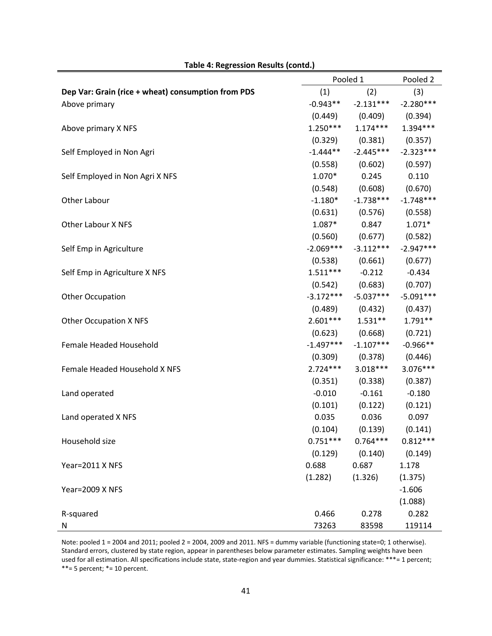|                                                    | Pooled 1    | Pooled 2    |             |
|----------------------------------------------------|-------------|-------------|-------------|
| Dep Var: Grain (rice + wheat) consumption from PDS | (1)         | (2)         | (3)         |
| Above primary                                      | $-0.943**$  | $-2.131***$ | $-2.280***$ |
|                                                    | (0.449)     | (0.409)     | (0.394)     |
| Above primary X NFS                                | $1.250***$  | $1.174***$  | $1.394***$  |
|                                                    | (0.329)     | (0.381)     | (0.357)     |
| Self Employed in Non Agri                          | $-1.444**$  | $-2.445***$ | $-2.323***$ |
|                                                    | (0.558)     | (0.602)     | (0.597)     |
| Self Employed in Non Agri X NFS                    | $1.070*$    | 0.245       | 0.110       |
|                                                    | (0.548)     | (0.608)     | (0.670)     |
| Other Labour                                       | $-1.180*$   | $-1.738***$ | $-1.748***$ |
|                                                    | (0.631)     | (0.576)     | (0.558)     |
| <b>Other Labour X NFS</b>                          | $1.087*$    | 0.847       | $1.071*$    |
|                                                    | (0.560)     | (0.677)     | (0.582)     |
| Self Emp in Agriculture                            | $-2.069***$ | $-3.112***$ | $-2.947***$ |
|                                                    | (0.538)     | (0.661)     | (0.677)     |
| Self Emp in Agriculture X NFS                      | $1.511***$  | $-0.212$    | $-0.434$    |
|                                                    | (0.542)     | (0.683)     | (0.707)     |
| <b>Other Occupation</b>                            | $-3.172***$ | $-5.037***$ | $-5.091***$ |
|                                                    | (0.489)     | (0.432)     | (0.437)     |
| <b>Other Occupation X NFS</b>                      | $2.601***$  | $1.531**$   | $1.791**$   |
|                                                    | (0.623)     | (0.668)     | (0.721)     |
| Female Headed Household                            | $-1.497***$ | $-1.107***$ | $-0.966**$  |
|                                                    | (0.309)     | (0.378)     | (0.446)     |
| Female Headed Household X NFS                      | $2.724***$  | $3.018***$  | 3.076***    |
|                                                    | (0.351)     | (0.338)     | (0.387)     |
| Land operated                                      | $-0.010$    | $-0.161$    | $-0.180$    |
|                                                    | (0.101)     | (0.122)     | (0.121)     |
| Land operated X NFS                                | 0.035       | 0.036       | 0.097       |
|                                                    | (0.104)     | (0.139)     | (0.141)     |
| Household size                                     | $0.751***$  | $0.764***$  | $0.812***$  |
|                                                    | (0.129)     | (0.140)     | (0.149)     |
| Year=2011 X NFS                                    | 0.688       | 0.687       | 1.178       |
|                                                    | (1.282)     | (1.326)     | (1.375)     |
| Year=2009 X NFS                                    |             |             | $-1.606$    |
|                                                    |             |             | (1.088)     |
| R-squared                                          | 0.466       | 0.278       | 0.282       |
| N                                                  | 73263       | 83598       | 119114      |

Note: pooled 1 = 2004 and 2011; pooled 2 = 2004, 2009 and 2011. NFS = dummy variable (functioning state=0; 1 otherwise). Standard errors, clustered by state region, appear in parentheses below parameter estimates. Sampling weights have been used for all estimation. All specifications include state, state-region and year dummies. Statistical significance: \*\*\*= 1 percent;  $***=$  5 percent;  $*=$  10 percent.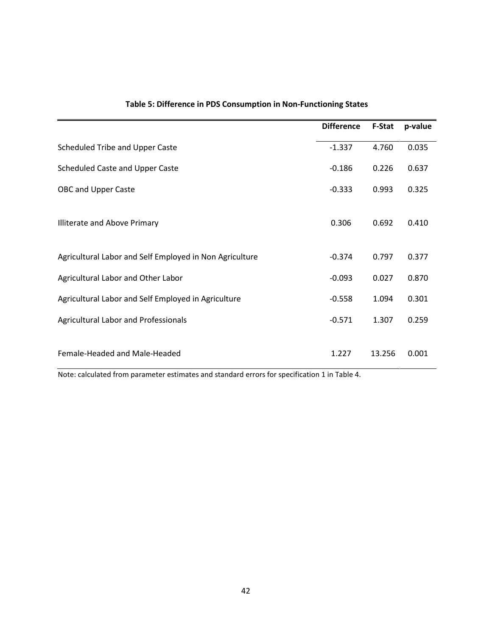|                                                         | <b>Difference</b> | <b>F-Stat</b> | p-value |
|---------------------------------------------------------|-------------------|---------------|---------|
| Scheduled Tribe and Upper Caste                         | $-1.337$          | 4.760         | 0.035   |
| Scheduled Caste and Upper Caste                         | $-0.186$          | 0.226         | 0.637   |
| <b>OBC and Upper Caste</b>                              | $-0.333$          | 0.993         | 0.325   |
| Illiterate and Above Primary                            | 0.306             | 0.692         | 0.410   |
| Agricultural Labor and Self Employed in Non Agriculture | $-0.374$          | 0.797         | 0.377   |
| Agricultural Labor and Other Labor                      | $-0.093$          | 0.027         | 0.870   |
| Agricultural Labor and Self Employed in Agriculture     | $-0.558$          | 1.094         | 0.301   |
| <b>Agricultural Labor and Professionals</b>             | $-0.571$          | 1.307         | 0.259   |
| Female-Headed and Male-Headed                           | 1.227             | 13.256        | 0.001   |

#### **Table 5: Difference in PDS Consumption in Non-Functioning States**

Note: calculated from parameter estimates and standard errors for specification 1 in Table 4.